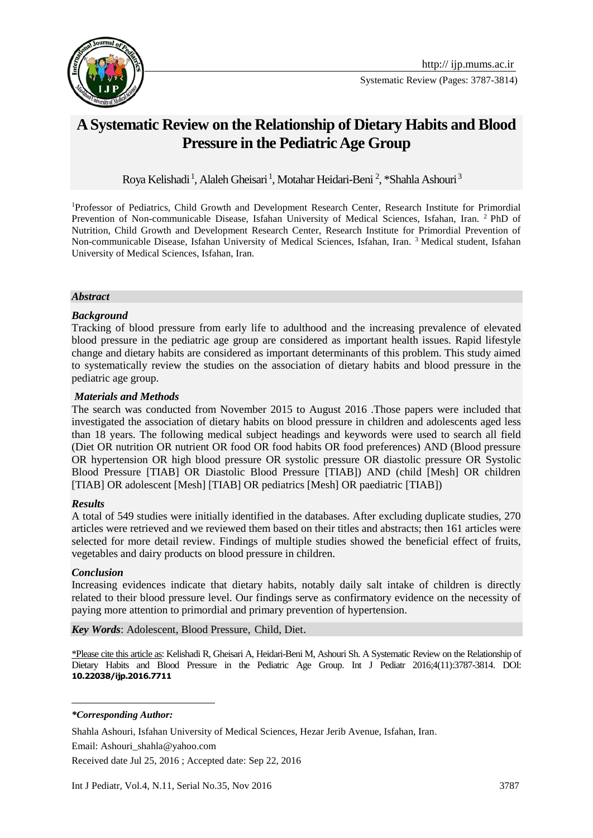

Systematic Review (Pages: 3787-3814)

# **A Systematic Review on the Relationship of Dietary Habits and Blood Pressure in the Pediatric Age Group**

Roya Kelishadi<sup>1</sup>, Alaleh Gheisari<sup>1</sup>, Motahar Heidari-Beni<sup>2</sup>, \*Shahla Ashouri<sup>3</sup>

<sup>1</sup>Professor of Pediatrics, Child Growth and Development Research Center, Research Institute for Primordial Prevention of Non-communicable Disease, Isfahan University of Medical Sciences, Isfahan, Iran. <sup>2</sup>PhD of Nutrition, Child Growth and Development Research Center, Research Institute for Primordial Prevention of Non-communicable Disease, Isfahan University of Medical Sciences, Isfahan, Iran. <sup>3</sup> Medical student, Isfahan University of Medical Sciences, Isfahan, Iran.

#### *Abstract*

#### *Background*

Tracking of blood pressure from early life to adulthood and the increasing prevalence of elevated blood pressure in the pediatric age group are considered as important health issues. Rapid lifestyle change and dietary habits are considered as important determinants of this problem. This study aimed to systematically review the studies on the association of dietary habits and blood pressure in the pediatric age group.

#### *Materials and Methods*

The search was conducted from November 2015 to August 2016 .Those papers were included that investigated the association of dietary habits on blood pressure in children and adolescents aged less than 18 years. The following medical subject headings and keywords were used to search all field (Diet OR nutrition OR nutrient OR food OR food habits OR food preferences) AND (Blood pressure OR hypertension OR high blood pressure OR systolic pressure OR diastolic pressure OR Systolic Blood Pressure [TIAB] OR Diastolic Blood Pressure [TIAB]) AND (child [Mesh] OR children [TIAB] OR adolescent [Mesh] [TIAB] OR pediatrics [Mesh] OR paediatric [TIAB])

#### *Results*

A total of 549 studies were initially identified in the databases. After excluding duplicate studies, 270 articles were retrieved and we reviewed them based on their titles and abstracts; then 161 articles were selected for more detail review. Findings of multiple studies showed the beneficial effect of fruits, vegetables and dairy products on blood pressure in children.

#### *Conclusion*

**.** 

Increasing evidences indicate that dietary habits, notably daily salt intake of children is directly related to their blood pressure level. Our findings serve as confirmatory evidence on the necessity of paying more attention to primordial and primary prevention of hypertension.

*Key Words*: [Adolescent,](http://www.ncbi.nlm.nih.gov/mesh/68000293) Blood Pressure, Child, Diet.

\*Please cite this article as: Kelishadi R, Gheisari A, Heidari-Beni M, Ashouri Sh. A Systematic Review on the Relationship of Dietary Habits and Blood Pressure in the Pediatric Age Group. Int J Pediatr 2016;4(11):3787-3814. DOI: **10.22038/ijp.2016.7711**

Received date Jul 25, 2016 ; Accepted date: Sep 22, 2016

*<sup>\*</sup>Corresponding Author:*

Shahla Ashouri, Isfahan University of Medical Sciences, Hezar Jerib Avenue, Isfahan, Iran.

Email: Ashouri\_shahla@yahoo.com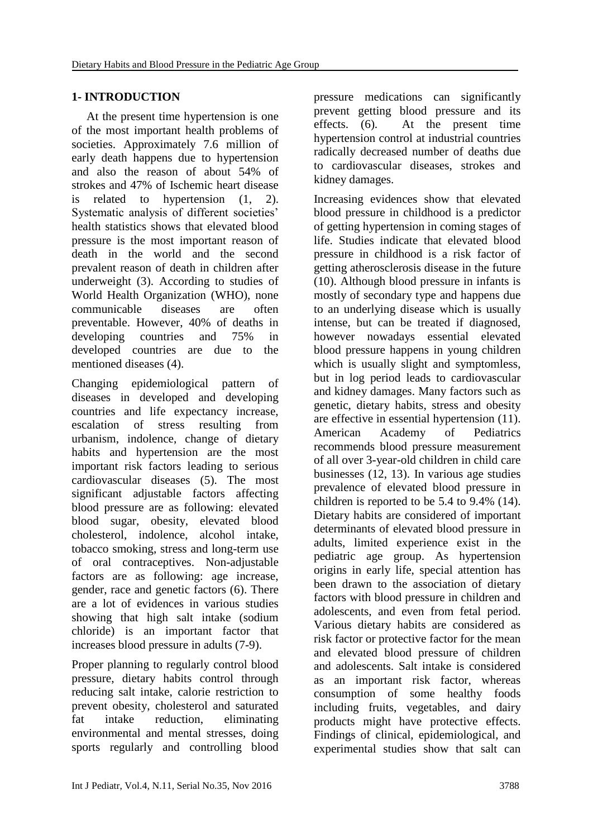#### **1- INTRODUCTION**

 At the present time hypertension is one of the most important health problems of societies. Approximately 7.6 million of early death happens due to hypertension and also the reason of about 54% of strokes and 47% of Ischemic heart disease is related to hypertension (1, 2). Systematic analysis of different societies' health statistics shows that elevated blood pressure is the most important reason of death in the world and the second prevalent reason of death in children after underweight (3). According to studies of World Health Organization (WHO), none communicable diseases are often preventable. However, 40% of deaths in developing countries and 75% in developed countries are due to the mentioned diseases (4).

Changing epidemiological pattern of diseases in developed and developing countries and life expectancy increase, escalation of stress resulting from urbanism, indolence, change of dietary habits and hypertension are the most important risk factors leading to serious cardiovascular diseases (5). The most significant adjustable factors affecting blood pressure are as following: elevated blood sugar, obesity, elevated blood cholesterol, indolence, alcohol intake, tobacco smoking, stress and long-term use of oral contraceptives. Non-adjustable factors are as following: age increase, gender, race and genetic factors (6). There are a lot of evidences in various studies showing that high salt intake (sodium chloride) is an important factor that increases blood pressure in adults (7-9).

Proper planning to regularly control blood pressure, dietary habits control through reducing salt intake, calorie restriction to prevent obesity, cholesterol and saturated fat intake reduction, eliminating environmental and mental stresses, doing sports regularly and controlling blood

pressure medications can significantly prevent getting blood pressure and its effects. (6). At the present time hypertension control at industrial countries radically decreased number of deaths due to cardiovascular diseases, strokes and kidney damages.

Increasing evidences show that elevated blood pressure in childhood is a predictor of getting hypertension in coming stages of life. Studies indicate that elevated blood pressure in childhood is a risk factor of getting atherosclerosis disease in the future (10). Although blood pressure in infants is mostly of secondary type and happens due to an underlying disease which is usually intense, but can be treated if diagnosed, however nowadays essential elevated blood pressure happens in young children which is usually slight and symptomless, but in log period leads to cardiovascular and kidney damages. Many factors such as genetic, dietary habits, stress and obesity are effective in essential hypertension (11). American Academy of Pediatrics recommends blood pressure measurement of all over 3-year-old children in child care businesses (12, 13). In various age studies prevalence of elevated blood pressure in children is reported to be 5.4 to 9.4% (14). Dietary habits are considered of important determinants of elevated blood pressure in adults, limited experience exist in the pediatric age group. As hypertension origins in early life, special attention has been drawn to the association of dietary factors with blood pressure in children and adolescents, and even from fetal period. Various dietary habits are considered as risk factor or protective factor for the mean and elevated blood pressure of children and adolescents. Salt intake is considered as an important risk factor, whereas consumption of some healthy foods including fruits, vegetables, and dairy products might have protective effects. Findings of clinical, epidemiological, and experimental studies show that salt can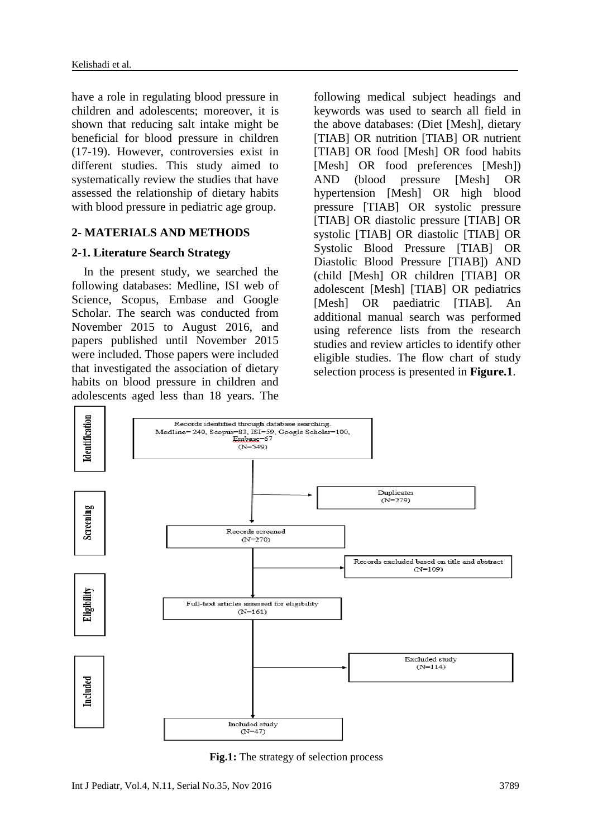have a role in regulating blood pressure in children and adolescents; moreover, it is shown that reducing salt intake might be beneficial for blood pressure in children (17-19). However, controversies exist in different studies. This study aimed to systematically review the studies that have assessed the relationship of dietary habits with blood pressure in pediatric age group.

#### **2- MATERIALS AND METHODS**

#### **2-1. Literature Search Strategy**

 In the present study, we searched the following databases: Medline, ISI web of Science, Scopus, Embase and Google Scholar. The search was conducted from November 2015 to August 2016, and papers published until November 2015 were included. Those papers were included that investigated the association of dietary habits on blood pressure in children and adolescents aged less than 18 years. The

following medical subject headings and keywords was used to search all field in the above databases: (Diet [Mesh], dietary [TIAB] OR nutrition [TIAB] OR nutrient [TIAB] OR food [Mesh] OR food habits [Mesh] OR food preferences [Mesh]) AND (blood pressure [Mesh] OR hypertension [Mesh] OR high blood pressure [TIAB] OR systolic pressure [TIAB] OR diastolic pressure [TIAB] OR systolic [TIAB] OR diastolic [TIAB] OR Systolic Blood Pressure [TIAB] OR Diastolic Blood Pressure [TIAB]) AND (child [Mesh] OR children [TIAB] OR adolescent [Mesh] [TIAB] OR pediatrics [Mesh] OR paediatric [TIAB]. An additional manual search was performed using reference lists from the research studies and review articles to identify other eligible studies. The flow chart of study selection process is presented in **Figure.1**.



**Fig.1:** The strategy of selection process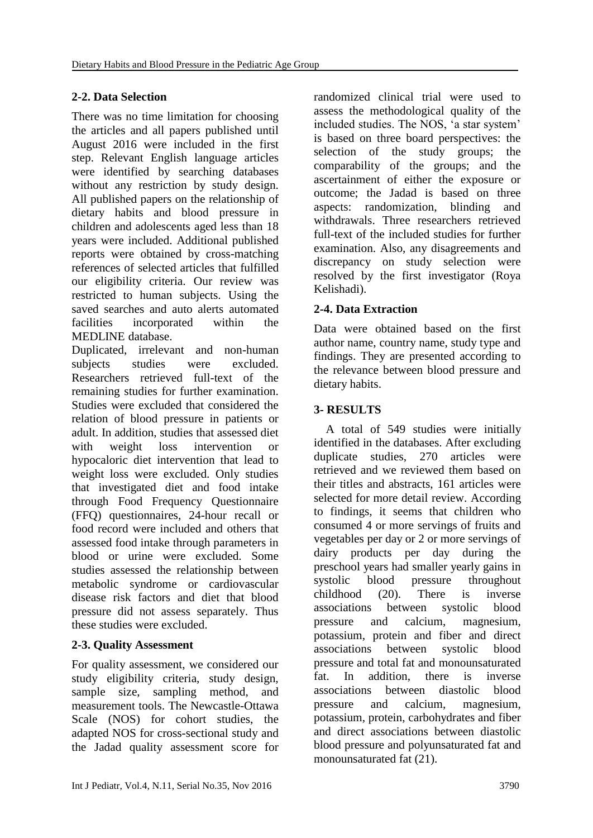# **2-2. Data Selection**

There was no time limitation for choosing the articles and all papers published until August 2016 were included in the first step. Relevant English language articles were identified by searching databases without any restriction by study design. All published papers on the relationship of dietary habits and blood pressure in children and adolescents aged less than 18 years were included. Additional published reports were obtained by cross-matching references of selected articles that fulfilled our eligibility criteria. Our review was restricted to human subjects. Using the saved searches and auto alerts automated facilities incorporated within the MEDLINE database.

Duplicated, irrelevant and non-human subjects studies were excluded. Researchers retrieved full-text of the remaining studies for further examination. Studies were excluded that considered the relation of blood pressure in patients or adult. In addition, studies that assessed diet with weight loss intervention or hypocaloric diet intervention that lead to weight loss were excluded. Only studies that investigated diet and food intake through Food Frequency Questionnaire (FFQ) questionnaires, 24-hour recall or food record were included and others that assessed food intake through parameters in blood or urine were excluded. Some studies assessed the relationship between metabolic syndrome or cardiovascular disease risk factors and diet that blood pressure did not assess separately. Thus these studies were excluded.

# **2-3. Quality Assessment**

For quality assessment, we considered our study eligibility criteria, study design, sample size, sampling method, and measurement tools. The Newcastle-Ottawa Scale (NOS) for cohort studies, the adapted NOS for cross-sectional study and the Jadad quality assessment score for randomized clinical trial were used to assess the methodological quality of the included studies. The NOS, 'a star system' is based on three board perspectives: the selection of the study groups; the comparability of the groups; and the ascertainment of either the exposure or outcome; the Jadad is based on three aspects: randomization, blinding and withdrawals. Three researchers retrieved full-text of the included studies for further examination. Also, any disagreements and discrepancy on study selection were resolved by the first investigator (Roya Kelishadi).

# **2-4. Data Extraction**

Data were obtained based on the first author name, country name, study type and findings. They are presented according to the relevance between blood pressure and dietary habits.

# **3- RESULTS**

 A total of 549 studies were initially identified in the databases. After excluding duplicate studies, 270 articles were retrieved and we reviewed them based on their titles and abstracts, 161 articles were selected for more detail review. According to findings, it seems that children who consumed 4 or more servings of fruits and vegetables per day or 2 or more servings of dairy products per day during the preschool years had smaller yearly gains in systolic blood pressure throughout childhood (20). There is inverse associations between systolic blood pressure and calcium, magnesium, potassium, protein and fiber and direct associations between systolic blood pressure and total fat and monounsaturated fat. In addition, there is inverse associations between diastolic blood pressure and calcium, magnesium, potassium, protein, carbohydrates and fiber and direct associations between diastolic blood pressure and polyunsaturated fat and monounsaturated fat (21).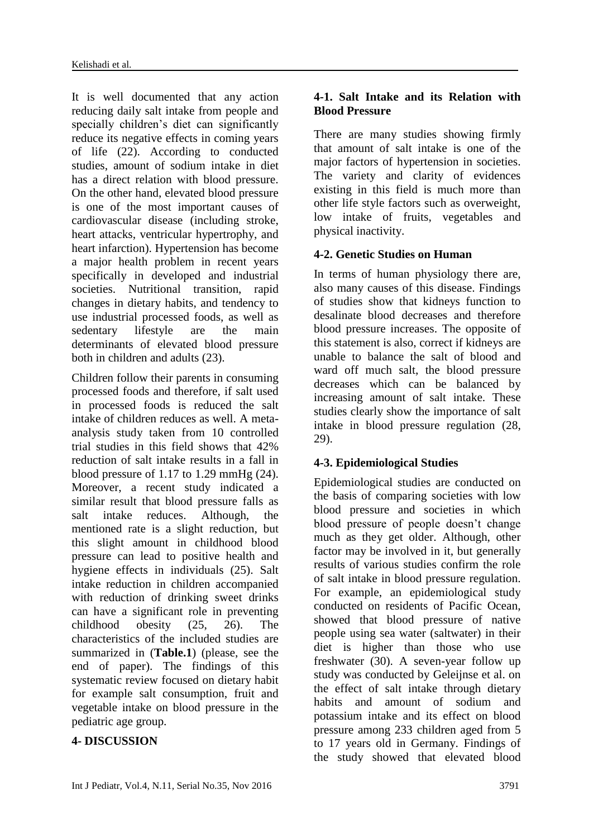It is well documented that any action reducing daily salt intake from people and specially children's diet can significantly reduce its negative effects in coming years of life (22). According to conducted studies, amount of sodium intake in diet has a direct relation with blood pressure. On the other hand, elevated blood pressure is one of the most important causes of cardiovascular disease (including stroke, heart attacks, ventricular hypertrophy, and heart infarction). Hypertension has become a major health problem in recent years specifically in developed and industrial societies. Nutritional transition, rapid changes in dietary habits, and tendency to use industrial processed foods, as well as sedentary lifestyle are the main determinants of elevated blood pressure both in children and adults (23).

Children follow their parents in consuming processed foods and therefore, if salt used in processed foods is reduced the salt intake of children reduces as well. A metaanalysis study taken from 10 controlled trial studies in this field shows that 42% reduction of salt intake results in a fall in blood pressure of 1.17 to 1.29 mmHg (24). Moreover, a recent study indicated a similar result that blood pressure falls as salt intake reduces. Although, the mentioned rate is a slight reduction, but this slight amount in childhood blood pressure can lead to positive health and hygiene effects in individuals (25). Salt intake reduction in children accompanied with reduction of drinking sweet drinks can have a significant role in preventing childhood obesity (25, 26). The characteristics of the included studies are summarized in (**Table.1**) (please, see the end of paper). The findings of this systematic review focused on dietary habit for example salt consumption, fruit and vegetable intake on blood pressure in the pediatric age group.

#### **4- DISCUSSION**

## **4-1. Salt Intake and its Relation with Blood Pressure**

There are many studies showing firmly that amount of salt intake is one of the major factors of hypertension in societies. The variety and clarity of evidences existing in this field is much more than other life style factors such as overweight, low intake of fruits, vegetables and physical inactivity.

#### **4-2. Genetic Studies on Human**

In terms of human physiology there are, also many causes of this disease. Findings of studies show that kidneys function to desalinate blood decreases and therefore blood pressure increases. The opposite of this statement is also, correct if kidneys are unable to balance the salt of blood and ward off much salt, the blood pressure decreases which can be balanced by increasing amount of salt intake. These studies clearly show the importance of salt intake in blood pressure regulation (28, 29).

# **4-3. Epidemiological Studies**

Epidemiological studies are conducted on the basis of comparing societies with low blood pressure and societies in which blood pressure of people doesn't change much as they get older. Although, other factor may be involved in it, but generally results of various studies confirm the role of salt intake in blood pressure regulation. For example, an epidemiological study conducted on residents of Pacific Ocean, showed that blood pressure of native people using sea water (saltwater) in their diet is higher than those who use freshwater (30). A seven-year follow up study was conducted by Geleijnse et al. on the effect of salt intake through dietary habits and amount of sodium and potassium intake and its effect on blood pressure among 233 children aged from 5 to 17 years old in Germany. Findings of the study showed that elevated blood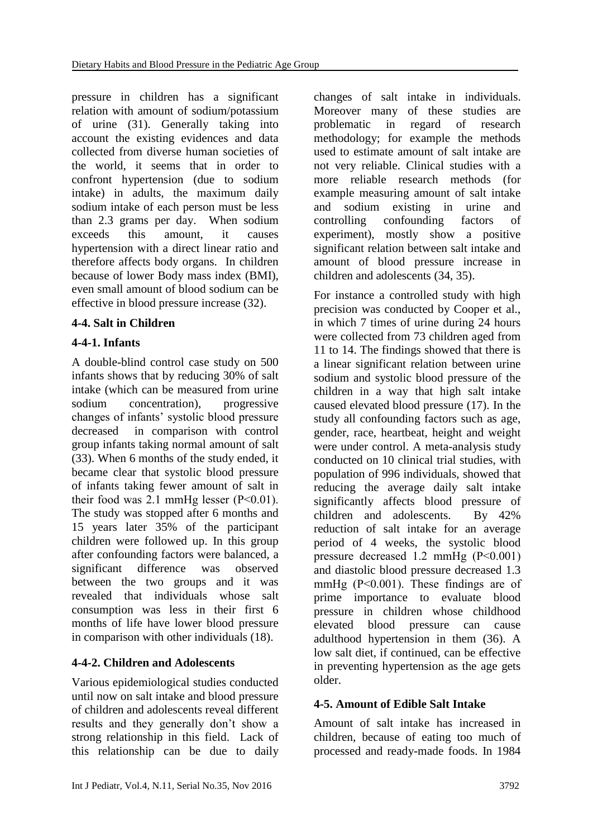pressure in children has a significant relation with amount of sodium/potassium of urine (31). Generally taking into account the existing evidences and data collected from diverse human societies of the world, it seems that in order to confront hypertension (due to sodium intake) in adults, the maximum daily sodium intake of each person must be less than 2.3 grams per day. When sodium exceeds this amount, it causes hypertension with a direct linear ratio and therefore affects body organs. In children because of lower Body mass index (BMI), even small amount of blood sodium can be effective in blood pressure increase (32).

# **4-4. Salt in Children**

# **4-4-1. Infants**

A double-blind control case study on 500 infants shows that by reducing 30% of salt intake (which can be measured from urine sodium concentration), progressive changes of infants' systolic blood pressure decreased in comparison with control group infants taking normal amount of salt (33). When 6 months of the study ended, it became clear that systolic blood pressure of infants taking fewer amount of salt in their food was 2.1 mmHg lesser (P˂0.01). The study was stopped after 6 months and 15 years later 35% of the participant children were followed up. In this group after confounding factors were balanced, a significant difference was observed between the two groups and it was revealed that individuals whose salt consumption was less in their first 6 months of life have lower blood pressure in comparison with other individuals (18).

# **4-4-2. Children and Adolescents**

Various epidemiological studies conducted until now on salt intake and blood pressure of children and adolescents reveal different results and they generally don't show a strong relationship in this field. Lack of this relationship can be due to daily

changes of salt intake in individuals. Moreover many of these studies are problematic in regard of research methodology; for example the methods used to estimate amount of salt intake are not very reliable. Clinical studies with a more reliable research methods (for example measuring amount of salt intake and sodium existing in urine and controlling confounding factors of experiment), mostly show a positive significant relation between salt intake and amount of blood pressure increase in children and adolescents (34, 35).

For instance a controlled study with high precision was conducted by Cooper et al., in which 7 times of urine during 24 hours were collected from 73 children aged from 11 to 14. The findings showed that there is a linear significant relation between urine sodium and systolic blood pressure of the children in a way that high salt intake caused elevated blood pressure (17). In the study all confounding factors such as age, gender, race, heartbeat, height and weight were under control. A meta-analysis study conducted on 10 clinical trial studies, with population of 996 individuals, showed that reducing the average daily salt intake significantly affects blood pressure of children and adolescents. By 42% reduction of salt intake for an average period of 4 weeks, the systolic blood pressure decreased 1.2 mmHg (P˂0.001) and diastolic blood pressure decreased 1.3 mmHg (P˂0.001). These findings are of prime importance to evaluate blood pressure in children whose childhood elevated blood pressure can cause adulthood hypertension in them (36). A low salt diet, if continued, can be effective in preventing hypertension as the age gets older.

# **4-5. Amount of Edible Salt Intake**

Amount of salt intake has increased in children, because of eating too much of processed and ready-made foods. In 1984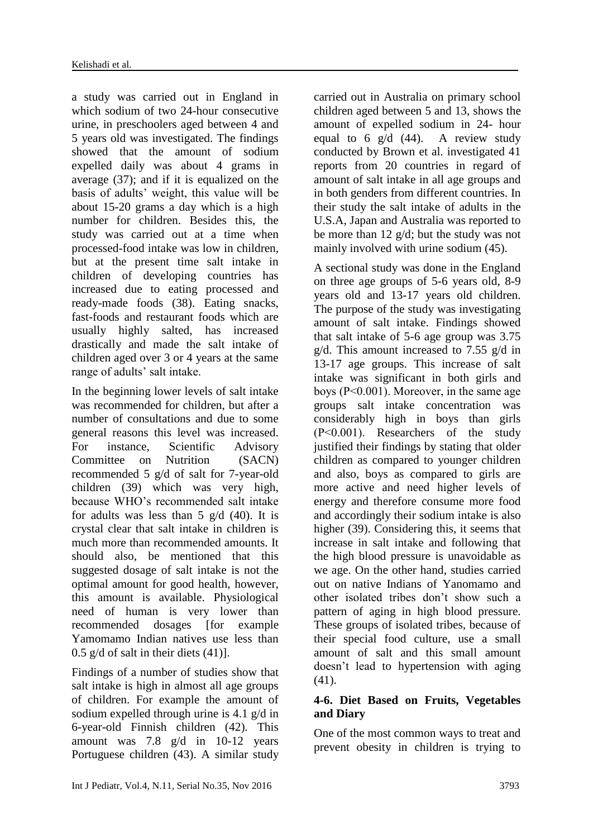a study was carried out in England in which sodium of two 24-hour consecutive urine, in preschoolers aged between 4 and 5 years old was investigated. The findings showed that the amount of sodium expelled daily was about 4 grams in average (37); and if it is equalized on the basis of adults' weight, this value will be about 15-20 grams a day which is a high number for children. Besides this, the study was carried out at a time when processed-food intake was low in children, but at the present time salt intake in children of developing countries has increased due to eating processed and ready-made foods (38). Eating snacks, fast-foods and restaurant foods which are usually highly salted, has increased drastically and made the salt intake of children aged over 3 or 4 years at the same range of adults' salt intake.

In the beginning lower levels of salt intake was recommended for children, but after a number of consultations and due to some general reasons this level was increased. For instance, Scientific Advisory Committee on Nutrition (SACN) recommended 5 g/d of salt for 7-year-old children (39) which was very high, because WHO's recommended salt intake for adults was less than  $5 \text{ g/d}$  (40). It is crystal clear that salt intake in children is much more than recommended amounts. It should also, be mentioned that this suggested dosage of salt intake is not the optimal amount for good health, however, this amount is available. Physiological need of human is very lower than recommended dosages [for example Yamomamo Indian natives use less than  $0.5$  g/d of salt in their diets  $(41)$ ].

Findings of a number of studies show that salt intake is high in almost all age groups of children. For example the amount of sodium expelled through urine is 4.1 g/d in 6-year-old Finnish children (42). This amount was 7.8 g/d in 10-12 years Portuguese children (43). A similar study

carried out in Australia on primary school children aged between 5 and 13, shows the amount of expelled sodium in 24- hour equal to 6  $g/d$  (44). A review study conducted by Brown et al. investigated 41 reports from 20 countries in regard of amount of salt intake in all age groups and in both genders from different countries. In their study the salt intake of adults in the U.S.A, Japan and Australia was reported to be more than 12 g/d; but the study was not mainly involved with urine sodium (45).

A sectional study was done in the England on three age groups of 5-6 years old, 8-9 years old and 13-17 years old children. The purpose of the study was investigating amount of salt intake. Findings showed that salt intake of 5-6 age group was 3.75 g/d. This amount increased to 7.55 g/d in 13-17 age groups. This increase of salt intake was significant in both girls and boys (P˂0.001). Moreover, in the same age groups salt intake concentration was considerably high in boys than girls (P˂0.001). Researchers of the study justified their findings by stating that older children as compared to younger children and also, boys as compared to girls are more active and need higher levels of energy and therefore consume more food and accordingly their sodium intake is also higher (39). Considering this, it seems that increase in salt intake and following that the high blood pressure is unavoidable as we age. On the other hand, studies carried out on native Indians of Yanomamo and other isolated tribes don't show such a pattern of aging in high blood pressure. These groups of isolated tribes, because of their special food culture, use a small amount of salt and this small amount doesn't lead to hypertension with aging (41).

#### **4-6. Diet Based on Fruits, Vegetables and Diary**

One of the most common ways to treat and prevent obesity in children is trying to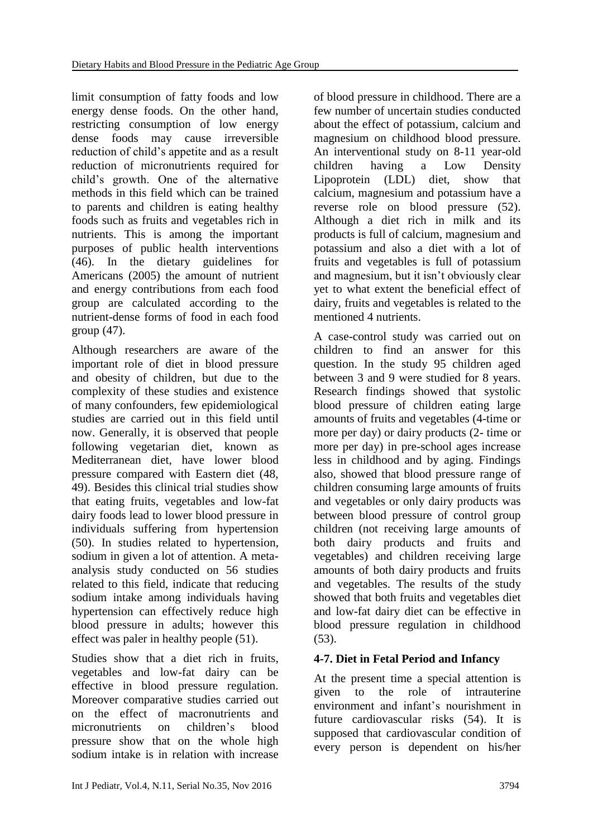limit consumption of fatty foods and low energy dense foods. On the other hand, restricting consumption of low energy dense foods may cause irreversible reduction of child's appetite and as a result reduction of micronutrients required for child's growth. One of the alternative methods in this field which can be trained to parents and children is eating healthy foods such as fruits and vegetables rich in nutrients. This is among the important purposes of public health interventions (46). In the dietary guidelines for Americans (2005) the amount of nutrient and energy contributions from each food group are calculated according to the nutrient-dense forms of food in each food group (47).

Although researchers are aware of the important role of diet in blood pressure and obesity of children, but due to the complexity of these studies and existence of many confounders, few epidemiological studies are carried out in this field until now. Generally, it is observed that people following vegetarian diet, known as Mediterranean diet, have lower blood pressure compared with Eastern diet (48, 49). Besides this clinical trial studies show that eating fruits, vegetables and low-fat dairy foods lead to lower blood pressure in individuals suffering from hypertension (50). In studies related to hypertension, sodium in given a lot of attention. A metaanalysis study conducted on 56 studies related to this field, indicate that reducing sodium intake among individuals having hypertension can effectively reduce high blood pressure in adults; however this effect was paler in healthy people (51).

Studies show that a diet rich in fruits, vegetables and low-fat dairy can be effective in blood pressure regulation. Moreover comparative studies carried out on the effect of macronutrients and micronutrients on children's blood pressure show that on the whole high sodium intake is in relation with increase

of blood pressure in childhood. There are a few number of uncertain studies conducted about the effect of potassium, calcium and magnesium on childhood blood pressure. An interventional study on 8-11 year-old children having a Low Density Lipoprotein (LDL) diet, show that calcium, magnesium and potassium have a reverse role on blood pressure (52). Although a diet rich in milk and its products is full of calcium, magnesium and potassium and also a diet with a lot of fruits and vegetables is full of potassium and magnesium, but it isn't obviously clear yet to what extent the beneficial effect of dairy, fruits and vegetables is related to the mentioned 4 nutrients.

A case-control study was carried out on children to find an answer for this question. In the study 95 children aged between 3 and 9 were studied for 8 years. Research findings showed that systolic blood pressure of children eating large amounts of fruits and vegetables (4-time or more per day) or dairy products (2- time or more per day) in pre-school ages increase less in childhood and by aging. Findings also, showed that blood pressure range of children consuming large amounts of fruits and vegetables or only dairy products was between blood pressure of control group children (not receiving large amounts of both dairy products and fruits and vegetables) and children receiving large amounts of both dairy products and fruits and vegetables. The results of the study showed that both fruits and vegetables diet and low-fat dairy diet can be effective in blood pressure regulation in childhood  $(53)$ .

# **4-7. Diet in Fetal Period and Infancy**

At the present time a special attention is given to the role of intrauterine environment and infant's nourishment in future cardiovascular risks (54). It is supposed that cardiovascular condition of every person is dependent on his/her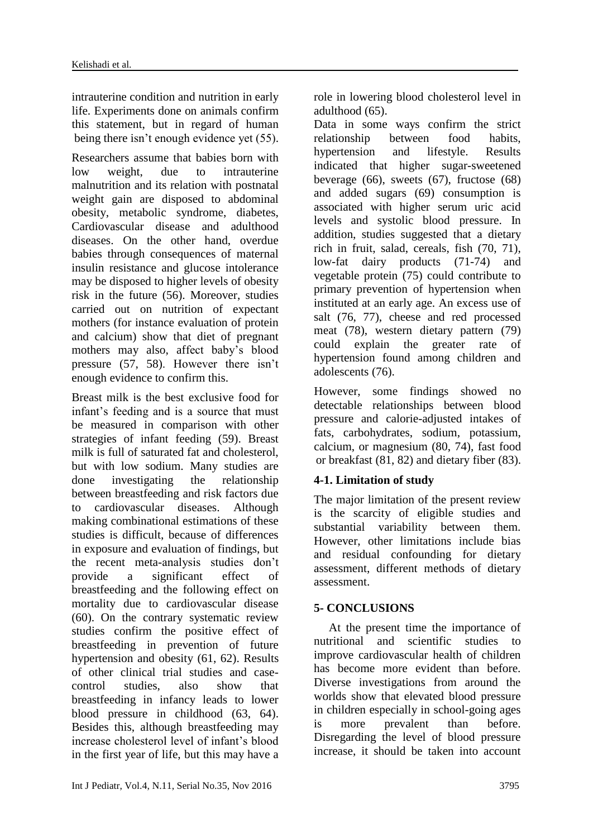intrauterine condition and nutrition in early life. Experiments done on animals confirm this statement, but in regard of human being there isn't enough evidence yet (55).

Researchers assume that babies born with low weight, due to intrauterine malnutrition and its relation with postnatal weight gain are disposed to abdominal obesity, metabolic syndrome, diabetes, Cardiovascular disease and adulthood diseases. On the other hand, overdue babies through consequences of maternal insulin resistance and glucose intolerance may be disposed to higher levels of obesity risk in the future (56). Moreover, studies carried out on nutrition of expectant mothers (for instance evaluation of protein and calcium) show that diet of pregnant mothers may also, affect baby's blood pressure (57, 58). However there isn't enough evidence to confirm this.

Breast milk is the best exclusive food for infant's feeding and is a source that must be measured in comparison with other strategies of infant feeding (59). Breast milk is full of saturated fat and cholesterol, but with low sodium. Many studies are done investigating the relationship between breastfeeding and risk factors due to cardiovascular diseases. Although making combinational estimations of these studies is difficult, because of differences in exposure and evaluation of findings, but the recent meta-analysis studies don't provide a significant effect of breastfeeding and the following effect on mortality due to cardiovascular disease (60). On the contrary systematic review studies confirm the positive effect of breastfeeding in prevention of future hypertension and obesity (61, 62). Results of other clinical trial studies and casecontrol studies, also show that breastfeeding in infancy leads to lower blood pressure in childhood (63, 64). Besides this, although breastfeeding may increase cholesterol level of infant's blood in the first year of life, but this may have a

role in lowering blood cholesterol level in adulthood (65).

Data in some ways confirm the strict relationship between food habits, hypertension and lifestyle. Results indicated that higher sugar-sweetened beverage  $(66)$ , sweets  $(67)$ , fructose  $(68)$ and added sugars (69) consumption is associated with higher serum uric acid levels and systolic blood pressure. In addition, studies suggested that a dietary rich in fruit, salad, cereals, fish (70, 71), low-fat dairy products (71-74) and vegetable protein (75) could contribute to primary prevention of hypertension when instituted at an early age. An excess use of salt (76, 77), cheese and red processed meat (78), western dietary pattern (79) could explain the greater rate of hypertension found among children and adolescents (76).

However, some findings showed no detectable relationships between blood pressure and calorie-adjusted intakes of fats, carbohydrates, sodium, potassium, calcium, or magnesium (80, 74), fast food or breakfast (81, 82) and dietary fiber (83).

# **4-1. Limitation of study**

The major limitation of the present review is the scarcity of eligible studies and substantial variability between them. However, other limitations include bias and residual confounding for dietary assessment, different methods of dietary assessment.

# **5- CONCLUSIONS**

 At the present time the importance of nutritional and scientific studies to improve cardiovascular health of children has become more evident than before. Diverse investigations from around the worlds show that elevated blood pressure in children especially in school-going ages is more prevalent than before. Disregarding the level of blood pressure increase, it should be taken into account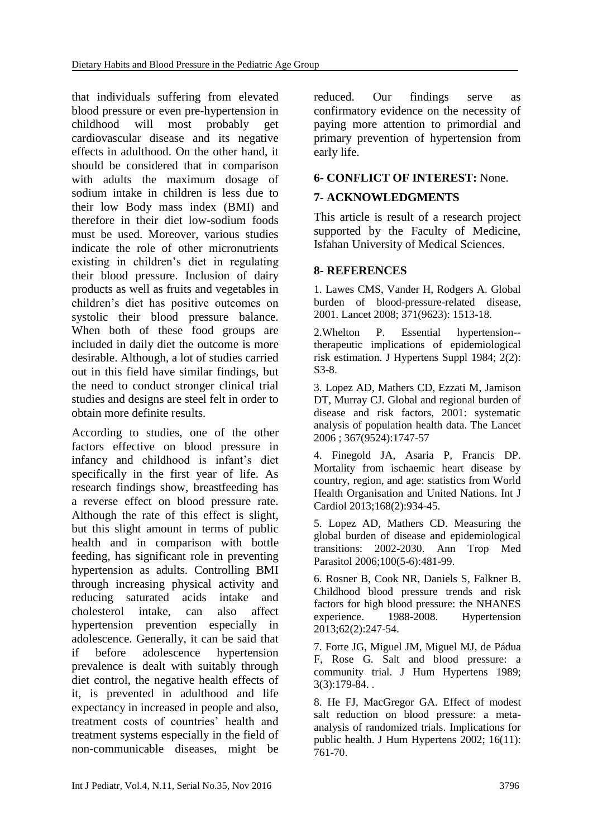that individuals suffering from elevated blood pressure or even pre-hypertension in childhood will most probably get cardiovascular disease and its negative effects in adulthood. On the other hand, it should be considered that in comparison with adults the maximum dosage of sodium intake in children is less due to their low Body mass index (BMI) and therefore in their diet low-sodium foods must be used. Moreover, various studies indicate the role of other micronutrients existing in children's diet in regulating their blood pressure. Inclusion of dairy products as well as fruits and vegetables in children's diet has positive outcomes on systolic their blood pressure balance. When both of these food groups are included in daily diet the outcome is more desirable. Although, a lot of studies carried out in this field have similar findings, but the need to conduct stronger clinical trial studies and designs are steel felt in order to obtain more definite results.

According to studies, one of the other factors effective on blood pressure in infancy and childhood is infant's diet specifically in the first year of life. As research findings show, breastfeeding has a reverse effect on blood pressure rate. Although the rate of this effect is slight, but this slight amount in terms of public health and in comparison with bottle feeding, has significant role in preventing hypertension as adults. Controlling BMI through increasing physical activity and reducing saturated acids intake and cholesterol intake, can also affect hypertension prevention especially in adolescence. Generally, it can be said that if before adolescence hypertension prevalence is dealt with suitably through diet control, the negative health effects of it, is prevented in adulthood and life expectancy in increased in people and also, treatment costs of countries' health and treatment systems especially in the field of non-communicable diseases, might be

reduced. Our findings serve as confirmatory evidence on the necessity of paying more attention to primordial and primary prevention of hypertension from early life.

#### **6- CONFLICT OF INTEREST:** None.

#### **7- ACKNOWLEDGMENTS**

This article is result of a research project supported by the Faculty of Medicine, Isfahan University of Medical Sciences.

#### **8- REFERENCES**

1. Lawes CMS, Vander H, Rodgers A. Global burden of blood-pressure-related disease, 2001. Lancet 2008; 371(9623): 1513-18.

2.Whelton P. Essential hypertension- therapeutic implications of epidemiological risk estimation. J Hypertens Suppl 1984; 2(2): S3-8.

3. Lopez AD, Mathers CD, Ezzati M, Jamison DT, Murray CJ. Global and regional burden of disease and risk factors, 2001: systematic analysis of population health data. The Lancet 2006 ; 367(9524):1747-57

4. [Finegold JA,](https://www.ncbi.nlm.nih.gov/pubmed/?term=Finegold%20JA%5BAuthor%5D&cauthor=true&cauthor_uid=23218570) [Asaria P,](https://www.ncbi.nlm.nih.gov/pubmed/?term=Asaria%20P%5BAuthor%5D&cauthor=true&cauthor_uid=23218570) [Francis DP.](https://www.ncbi.nlm.nih.gov/pubmed/?term=Francis%20DP%5BAuthor%5D&cauthor=true&cauthor_uid=23218570) Mortality from ischaemic heart disease by country, region, and age: statistics from World Health Organisation and United Nations. [Int J](https://www.ncbi.nlm.nih.gov/pubmed/23218570)  [Cardiol](https://www.ncbi.nlm.nih.gov/pubmed/23218570) 2013;168(2):934-45.

5. [Lopez AD,](https://www.ncbi.nlm.nih.gov/pubmed/?term=Lopez%20AD%5BAuthor%5D&cauthor=true&cauthor_uid=16899150) [Mathers CD.](https://www.ncbi.nlm.nih.gov/pubmed/?term=Mathers%20CD%5BAuthor%5D&cauthor=true&cauthor_uid=16899150) Measuring the global burden of disease and epidemiological transitions: 2002-2030. [Ann Trop Med](https://www.ncbi.nlm.nih.gov/pubmed/?term=Measuring+the+global+burden+of+disease+and+epidemiological+transitions%3A+2002%E2%80%932030)  [Parasitol](https://www.ncbi.nlm.nih.gov/pubmed/?term=Measuring+the+global+burden+of+disease+and+epidemiological+transitions%3A+2002%E2%80%932030) 2006;100(5-6):481-99.

6. [Rosner B,](https://www.ncbi.nlm.nih.gov/pubmed/?term=Rosner%20B%5BAuthor%5D&cauthor=true&cauthor_uid=23856492) [Cook NR,](https://www.ncbi.nlm.nih.gov/pubmed/?term=Cook%20NR%5BAuthor%5D&cauthor=true&cauthor_uid=23856492) [Daniels S,](https://www.ncbi.nlm.nih.gov/pubmed/?term=Daniels%20S%5BAuthor%5D&cauthor=true&cauthor_uid=23856492) [Falkner B.](https://www.ncbi.nlm.nih.gov/pubmed/?term=Falkner%20B%5BAuthor%5D&cauthor=true&cauthor_uid=23856492) Childhood blood pressure trends and risk factors for high blood pressure: the NHANES experience. 1988-2008. [Hypertension](https://www.ncbi.nlm.nih.gov/pubmed/23856492) 2013;62(2):247-54.

7. Forte JG, Miguel JM, Miguel MJ, de Pádua F, Rose G. Salt and blood pressure: a community trial. J Hum Hypertens 1989; 3(3):179-84. .

8. He FJ, MacGregor GA. Effect of modest salt reduction on blood pressure: a metaanalysis of randomized trials. Implications for public health. J Hum Hypertens 2002; 16(11): 761-70.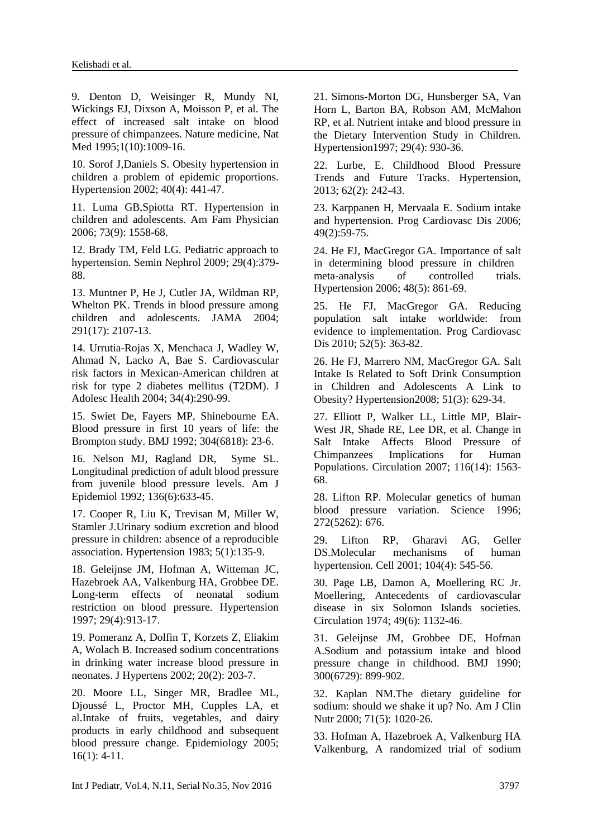9. Denton D, Weisinger R, Mundy NI, Wickings EJ, Dixson A, Moisson P, et al. The effect of increased salt intake on blood pressure of chimpanzees. Nature medicine, Nat Med 1995;1(10):1009-16.

10. Sorof J,Daniels S. Obesity hypertension in children a problem of epidemic proportions. Hypertension 2002; 40(4): 441-47.

11. Luma GB,Spiotta RT. Hypertension in children and adolescents. Am Fam Physician 2006; 73(9): 1558-68.

12. Brady TM, Feld LG. Pediatric approach to hypertension. Semin Nephrol 2009; 29(4):379- 88.

13. [Muntner P,](https://www.ncbi.nlm.nih.gov/pubmed/?term=Muntner%20P%5BAuthor%5D&cauthor=true&cauthor_uid=15126439) [He J,](https://www.ncbi.nlm.nih.gov/pubmed/?term=He%20J%5BAuthor%5D&cauthor=true&cauthor_uid=15126439) [Cutler JA,](https://www.ncbi.nlm.nih.gov/pubmed/?term=Cutler%20JA%5BAuthor%5D&cauthor=true&cauthor_uid=15126439) [Wildman RP,](https://www.ncbi.nlm.nih.gov/pubmed/?term=Wildman%20RP%5BAuthor%5D&cauthor=true&cauthor_uid=15126439) [Whelton PK.](https://www.ncbi.nlm.nih.gov/pubmed/?term=Whelton%20PK%5BAuthor%5D&cauthor=true&cauthor_uid=15126439) Trends in blood pressure among children and adolescents. JAMA 2004; 291(17): 2107-13.

14. [Urrutia-Rojas X,](https://www.ncbi.nlm.nih.gov/pubmed/?term=Urrutia-Rojas%20X%5BAuthor%5D&cauthor=true&cauthor_uid=15040998) [Menchaca J,](https://www.ncbi.nlm.nih.gov/pubmed/?term=Menchaca%20J%5BAuthor%5D&cauthor=true&cauthor_uid=15040998) [Wadley](https://www.ncbi.nlm.nih.gov/pubmed/?term=Wadley%20W%5BAuthor%5D&cauthor=true&cauthor_uid=15040998) W, [Ahmad N,](https://www.ncbi.nlm.nih.gov/pubmed/?term=Ahmad%20N%5BAuthor%5D&cauthor=true&cauthor_uid=15040998) [Lacko A,](https://www.ncbi.nlm.nih.gov/pubmed/?term=Lacko%20A%5BAuthor%5D&cauthor=true&cauthor_uid=15040998) [Bae S.](https://www.ncbi.nlm.nih.gov/pubmed/?term=Bae%20S%5BAuthor%5D&cauthor=true&cauthor_uid=15040998) Cardiovascular risk factors in Mexican-American children at risk for type 2 diabetes mellitus (T2DM). [J](https://www.ncbi.nlm.nih.gov/pubmed/?term=High+blood+pressure+in+school+children%3A+prevalence+and+risk+factors.+2004+Apr%3B34%284%29%3A290-9)  [Adolesc Health](https://www.ncbi.nlm.nih.gov/pubmed/?term=High+blood+pressure+in+school+children%3A+prevalence+and+risk+factors.+2004+Apr%3B34%284%29%3A290-9) 2004; 34(4):290-99.

15. Swiet De, Fayers MP, Shinebourne EA. Blood pressure in first 10 years of life: the Brompton study. BMJ 1992; 304(6818): 23-6.

16. Nelson MJ, Ragland DR, Syme SL. Longitudinal prediction of adult blood pressure from juvenile blood pressure levels. [Am J](https://www.ncbi.nlm.nih.gov/pubmed/?term=Longitudinal+prediction+of+adult+blood+pressure+from+juvenile+blood+pressure+levels.+American+journal+of+epidemiology%2C+1992.+136%286%29%3A+p.+633-645)  [Epidemiol](https://www.ncbi.nlm.nih.gov/pubmed/?term=Longitudinal+prediction+of+adult+blood+pressure+from+juvenile+blood+pressure+levels.+American+journal+of+epidemiology%2C+1992.+136%286%29%3A+p.+633-645) 1992; 136(6):633-45.

17. [Cooper R,](https://www.ncbi.nlm.nih.gov/pubmed/?term=Cooper%20R%5BAuthor%5D&cauthor=true&cauthor_uid=6848460) [Liu K,](https://www.ncbi.nlm.nih.gov/pubmed/?term=Liu%20K%5BAuthor%5D&cauthor=true&cauthor_uid=6848460) [Trevisan M,](https://www.ncbi.nlm.nih.gov/pubmed/?term=Trevisan%20M%5BAuthor%5D&cauthor=true&cauthor_uid=6848460) [Miller W,](https://www.ncbi.nlm.nih.gov/pubmed/?term=Miller%20W%5BAuthor%5D&cauthor=true&cauthor_uid=6848460) [Stamler J.](https://www.ncbi.nlm.nih.gov/pubmed/?term=Stamler%20J%5BAuthor%5D&cauthor=true&cauthor_uid=6848460)Urinary sodium excretion and blood pressure in children: absence of a reproducible association. [Hypertension](https://www.ncbi.nlm.nih.gov/pubmed/6848460) 1983; 5(1):135-9.

18. [Geleijnse JM,](https://www.ncbi.nlm.nih.gov/pubmed/?term=Geleijnse%20JM%5BAuthor%5D&cauthor=true&cauthor_uid=9095076) [Hofman A,](https://www.ncbi.nlm.nih.gov/pubmed/?term=Hofman%20A%5BAuthor%5D&cauthor=true&cauthor_uid=9095076) [Witteman JC,](https://www.ncbi.nlm.nih.gov/pubmed/?term=Witteman%20JC%5BAuthor%5D&cauthor=true&cauthor_uid=9095076) [Hazebroek AA,](https://www.ncbi.nlm.nih.gov/pubmed/?term=Hazebroek%20AA%5BAuthor%5D&cauthor=true&cauthor_uid=9095076) [Valkenburg HA,](https://www.ncbi.nlm.nih.gov/pubmed/?term=Valkenburg%20HA%5BAuthor%5D&cauthor=true&cauthor_uid=9095076) [Grobbee DE.](https://www.ncbi.nlm.nih.gov/pubmed/?term=Grobbee%20DE%5BAuthor%5D&cauthor=true&cauthor_uid=9095076) Long-term effects of neonatal sodium restriction on blood pressure. Hypertension 1997; 29(4):913-17.

19. [Pomeranz A,](https://www.ncbi.nlm.nih.gov/pubmed/?term=Pomeranz%20A%5BAuthor%5D&cauthor=true&cauthor_uid=11821704) [Dolfin T,](https://www.ncbi.nlm.nih.gov/pubmed/?term=Dolfin%20T%5BAuthor%5D&cauthor=true&cauthor_uid=11821704) [Korzets Z,](https://www.ncbi.nlm.nih.gov/pubmed/?term=Korzets%20Z%5BAuthor%5D&cauthor=true&cauthor_uid=11821704) [Eliakim](https://www.ncbi.nlm.nih.gov/pubmed/?term=Eliakim%20A%5BAuthor%5D&cauthor=true&cauthor_uid=11821704)  [A,](https://www.ncbi.nlm.nih.gov/pubmed/?term=Eliakim%20A%5BAuthor%5D&cauthor=true&cauthor_uid=11821704) [Wolach B.](https://www.ncbi.nlm.nih.gov/pubmed/?term=Wolach%20B%5BAuthor%5D&cauthor=true&cauthor_uid=11821704) Increased sodium concentrations in drinking water increase blood pressure in neonates. [J Hypertens](https://www.ncbi.nlm.nih.gov/pubmed/?term=Increased+sodium+concentrations+in+drinking+water+increase+blood+pressure+in+neonates) 2002; 20(2): 203-7.

20. [Moore LL,](https://www.ncbi.nlm.nih.gov/pubmed/?term=Moore%20LL%5BAuthor%5D&cauthor=true&cauthor_uid=15613939) [Singer MR,](https://www.ncbi.nlm.nih.gov/pubmed/?term=Singer%20MR%5BAuthor%5D&cauthor=true&cauthor_uid=15613939) [Bradlee ML,](https://www.ncbi.nlm.nih.gov/pubmed/?term=Bradlee%20ML%5BAuthor%5D&cauthor=true&cauthor_uid=15613939) [Djoussé L,](https://www.ncbi.nlm.nih.gov/pubmed/?term=Djouss%C3%A9%20L%5BAuthor%5D&cauthor=true&cauthor_uid=15613939) [Proctor MH,](https://www.ncbi.nlm.nih.gov/pubmed/?term=Proctor%20MH%5BAuthor%5D&cauthor=true&cauthor_uid=15613939) [Cupples LA,](https://www.ncbi.nlm.nih.gov/pubmed/?term=Cupples%20LA%5BAuthor%5D&cauthor=true&cauthor_uid=15613939) et al.Intake of fruits, vegetables, and dairy products in early childhood and subsequent blood pressure change. Epidemiology 2005; 16(1): 4-11.

21. [Simons-Morton DG,](https://www.ncbi.nlm.nih.gov/pubmed/?term=Simons-Morton%20DG%5BAuthor%5D&cauthor=true&cauthor_uid=9095079) [Hunsberger SA,](https://www.ncbi.nlm.nih.gov/pubmed/?term=Hunsberger%20SA%5BAuthor%5D&cauthor=true&cauthor_uid=9095079) [Van](https://www.ncbi.nlm.nih.gov/pubmed/?term=Van%20Horn%20L%5BAuthor%5D&cauthor=true&cauthor_uid=9095079)  [Horn L,](https://www.ncbi.nlm.nih.gov/pubmed/?term=Van%20Horn%20L%5BAuthor%5D&cauthor=true&cauthor_uid=9095079) [Barton BA](https://www.ncbi.nlm.nih.gov/pubmed/?term=Barton%20BA%5BAuthor%5D&cauthor=true&cauthor_uid=9095079), [Robson AM,](https://www.ncbi.nlm.nih.gov/pubmed/?term=Robson%20AM%5BAuthor%5D&cauthor=true&cauthor_uid=9095079) [McMahon](https://www.ncbi.nlm.nih.gov/pubmed/?term=McMahon%20RP%5BAuthor%5D&cauthor=true&cauthor_uid=9095079)  [RP,](https://www.ncbi.nlm.nih.gov/pubmed/?term=McMahon%20RP%5BAuthor%5D&cauthor=true&cauthor_uid=9095079) et al. Nutrient intake and blood pressure in the Dietary Intervention Study in Children. Hypertension1997; 29(4): 930-36.

22. Lurbe, E. Childhood Blood Pressure Trends and Future Tracks. Hypertension, 2013; 62(2): 242-43.

23. Karppanen H, Mervaala E. Sodium intake and hypertension. [Prog Cardiovasc Dis](https://www.ncbi.nlm.nih.gov/pubmed/?term=Karppanen%2C+H%2C.+and+E.+Mervaala+E%2C.+Sodium+intake+and+hypertension.+Progress+in+cardiovascular+diseases%2C) 2006; 49(2):59-75.

24. [He FJ,](https://www.ncbi.nlm.nih.gov/pubmed/?term=He%20FJ%5BAuthor%5D&cauthor=true&cauthor_uid=17000923) [MacGregor GA.](https://www.ncbi.nlm.nih.gov/pubmed/?term=MacGregor%20GA%5BAuthor%5D&cauthor=true&cauthor_uid=17000923) Importance of salt in determining blood pressure in children meta-analysis of controlled trials. Hypertension 2006; 48(5): 861-69.

25. [He FJ,](https://www.ncbi.nlm.nih.gov/pubmed/?term=He%20FJ%5BAuthor%5D&cauthor=true&cauthor_uid=20226955) [MacGregor GA.](https://www.ncbi.nlm.nih.gov/pubmed/?term=MacGregor%20GA%5BAuthor%5D&cauthor=true&cauthor_uid=20226955) Reducing population salt intake worldwide: from evidence to implementation. [Prog Cardiovasc](https://www.ncbi.nlm.nih.gov/pubmed/?term=Reducing+population+salt+intake+worldwide%3A+from+evidence+to+implementation.+Progress+in+cardiovascular+diseases)  [Dis](https://www.ncbi.nlm.nih.gov/pubmed/?term=Reducing+population+salt+intake+worldwide%3A+from+evidence+to+implementation.+Progress+in+cardiovascular+diseases) 2010; 52(5): 363-82.

26. [He FJ,](https://www.ncbi.nlm.nih.gov/pubmed/?term=He%20FJ%5BAuthor%5D&cauthor=true&cauthor_uid=18287345) [Marrero NM,](https://www.ncbi.nlm.nih.gov/pubmed/?term=Marrero%20NM%5BAuthor%5D&cauthor=true&cauthor_uid=18287345) [MacGregor GA.](https://www.ncbi.nlm.nih.gov/pubmed/?term=MacGregor%20GA%5BAuthor%5D&cauthor=true&cauthor_uid=18287345) Salt Intake Is Related to Soft Drink Consumption in Children and Adolescents A Link to Obesity? Hypertension2008; 51(3): 629-34.

27. [Elliott P,](https://www.ncbi.nlm.nih.gov/pubmed/?term=Elliott%20P%5BAuthor%5D&cauthor=true&cauthor_uid=17785625) [Walker LL,](https://www.ncbi.nlm.nih.gov/pubmed/?term=Walker%20LL%5BAuthor%5D&cauthor=true&cauthor_uid=17785625) [Little MP,](https://www.ncbi.nlm.nih.gov/pubmed/?term=Little%20MP%5BAuthor%5D&cauthor=true&cauthor_uid=17785625) [Blair-](https://www.ncbi.nlm.nih.gov/pubmed/?term=Blair-West%20JR%5BAuthor%5D&cauthor=true&cauthor_uid=17785625)[West JR,](https://www.ncbi.nlm.nih.gov/pubmed/?term=Blair-West%20JR%5BAuthor%5D&cauthor=true&cauthor_uid=17785625) [Shade RE,](https://www.ncbi.nlm.nih.gov/pubmed/?term=Shade%20RE%5BAuthor%5D&cauthor=true&cauthor_uid=17785625) [Lee DR,](https://www.ncbi.nlm.nih.gov/pubmed/?term=Lee%20DR%5BAuthor%5D&cauthor=true&cauthor_uid=17785625) et al. Change in Salt Intake Affects Blood Pressure of Chimpanzees Implications for Human Populations. Circulation 2007; 116(14): 1563- 68.

28. Lifton RP. Molecular genetics of human blood pressure variation. Science 1996; 272(5262): 676.

29. [Lifton RP,](https://www.ncbi.nlm.nih.gov/pubmed/?term=Lifton%20RP%5BAuthor%5D&cauthor=true&cauthor_uid=11239411) [Gharavi AG,](https://www.ncbi.nlm.nih.gov/pubmed/?term=Gharavi%20AG%5BAuthor%5D&cauthor=true&cauthor_uid=11239411) [Geller](https://www.ncbi.nlm.nih.gov/pubmed/?term=Geller%20DS%5BAuthor%5D&cauthor=true&cauthor_uid=11239411)  [DS.](https://www.ncbi.nlm.nih.gov/pubmed/?term=Geller%20DS%5BAuthor%5D&cauthor=true&cauthor_uid=11239411)Molecular mechanisms of human hypertension. Cell 2001; 104(4): 545-56.

30. [Page LB,](https://www.ncbi.nlm.nih.gov/pubmed/?term=Page%20LB%5BAuthor%5D&cauthor=true&cauthor_uid=4831656) [Damon A,](https://www.ncbi.nlm.nih.gov/pubmed/?term=Damon%20A%5BAuthor%5D&cauthor=true&cauthor_uid=4831656) [Moellering RC Jr.](https://www.ncbi.nlm.nih.gov/pubmed/?term=Moellering%20RC%20Jr%5BAuthor%5D&cauthor=true&cauthor_uid=4831656) Moellering, Antecedents of cardiovascular disease in six Solomon Islands societies. Circulation 1974; 49(6): 1132-46.

31. [Geleijnse JM,](https://www.ncbi.nlm.nih.gov/pubmed/?term=Geleijnse%20JM%5BAuthor%5D&cauthor=true&cauthor_uid=2337712) [Grobbee DE,](https://www.ncbi.nlm.nih.gov/pubmed/?term=Grobbee%20DE%5BAuthor%5D&cauthor=true&cauthor_uid=2337712) [Hofman](https://www.ncbi.nlm.nih.gov/pubmed/?term=Hofman%20A%5BAuthor%5D&cauthor=true&cauthor_uid=2337712)  [A.](https://www.ncbi.nlm.nih.gov/pubmed/?term=Hofman%20A%5BAuthor%5D&cauthor=true&cauthor_uid=2337712)Sodium and potassium intake and blood pressure change in childhood. BMJ 1990; 300(6729): 899-902.

32. [Kaplan NM.](https://www.ncbi.nlm.nih.gov/pubmed/?term=Kaplan%20NM%5BAuthor%5D&cauthor=true&cauthor_uid=10799360)The dietary guideline for sodium: should we shake it up? No. [Am J Clin](https://www.ncbi.nlm.nih.gov/pubmed/10799360)  [Nutr](https://www.ncbi.nlm.nih.gov/pubmed/10799360) 2000; 71(5): 1020-26.

33. [Hofman A,](https://www.ncbi.nlm.nih.gov/pubmed/?term=Hofman%20A%5BAuthor%5D&cauthor=true&cauthor_uid=6343656) [Hazebroek A,](https://www.ncbi.nlm.nih.gov/pubmed/?term=Hazebroek%20A%5BAuthor%5D&cauthor=true&cauthor_uid=6343656) [Valkenburg HA](https://www.ncbi.nlm.nih.gov/pubmed/?term=Valkenburg%20HA%5BAuthor%5D&cauthor=true&cauthor_uid=6343656) Valkenburg, A randomized trial of sodium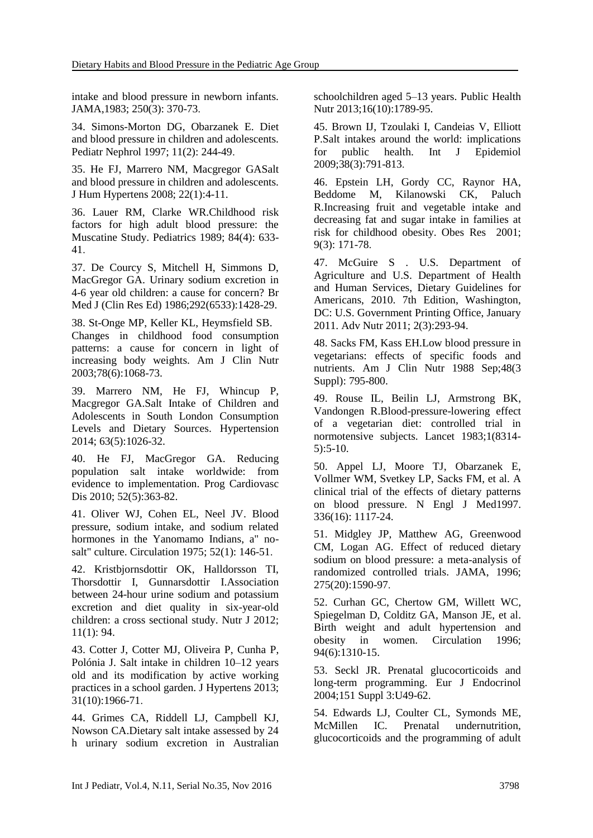intake and blood pressure in newborn infants. [JAMA,](https://www.ncbi.nlm.nih.gov/pubmed/?term=Valkenburg%2C+A+randomized+trial+of+sodium+intake+and+blood+pressure+in+newborn+infants.+Jama%2C)1983; 250(3): 370-73.

34. [Simons-Morton DG,](https://www.ncbi.nlm.nih.gov/pubmed/?term=Simons-Morton%20DG%5BAuthor%5D&cauthor=true&cauthor_uid=9090675) [Obarzanek E.](https://www.ncbi.nlm.nih.gov/pubmed/?term=Obarzanek%20E%5BAuthor%5D&cauthor=true&cauthor_uid=9090675) Diet and blood pressure in children and adolescents. [Pediatr Nephrol](https://www.ncbi.nlm.nih.gov/pubmed/?term=Simons-Morton%2C+D.G.+and+E.+Obarzanek%2C+Diet+and+blood+pressure+in+children+and+adolescents.+Pediatric+Nephrology%2C+1997.+11%282%29%3A+p.+244-249.) 1997; 11(2): 244-49.

35. [He FJ,](https://www.ncbi.nlm.nih.gov/pubmed/?term=He%20FJ%5BAuthor%5D&cauthor=true&cauthor_uid=17823599) [Marrero NM,](https://www.ncbi.nlm.nih.gov/pubmed/?term=Marrero%20NM%5BAuthor%5D&cauthor=true&cauthor_uid=17823599) [Macgregor GAS](https://www.ncbi.nlm.nih.gov/pubmed/?term=Macgregor%20GA%5BAuthor%5D&cauthor=true&cauthor_uid=17823599)alt and blood pressure in children and adolescents. [J Hum Hypertens](https://www.ncbi.nlm.nih.gov/pubmed/?term=Salt+and+blood+pressure+in+children+and+adolescents.+Journal+of+human+hypertension%2C+2008.+22%281%29%3A+p.+4-11.) 2008; 22(1):4-11.

36. [Lauer RM,](https://www.ncbi.nlm.nih.gov/pubmed/?term=Lauer%20RM%5BAuthor%5D&cauthor=true&cauthor_uid=2780125) [Clarke WR.](https://www.ncbi.nlm.nih.gov/pubmed/?term=Clarke%20WR%5BAuthor%5D&cauthor=true&cauthor_uid=2780125)Childhood risk factors for high adult blood pressure: the Muscatine Study. Pediatrics 1989; 84(4): 633- 41.

37. [De Courcy S,](https://www.ncbi.nlm.nih.gov/pubmed/?term=De%20Courcy%20S%5BAuthor%5D&cauthor=true&cauthor_uid=3087457) [Mitchell H,](https://www.ncbi.nlm.nih.gov/pubmed/?term=Mitchell%20H%5BAuthor%5D&cauthor=true&cauthor_uid=3087457) [Simmons D,](https://www.ncbi.nlm.nih.gov/pubmed/?term=Simmons%20D%5BAuthor%5D&cauthor=true&cauthor_uid=3087457) [MacGregor GA.](https://www.ncbi.nlm.nih.gov/pubmed/?term=MacGregor%20GA%5BAuthor%5D&cauthor=true&cauthor_uid=3087457) Urinary sodium excretion in 4-6 year old children: a cause for concern? [Br](https://www.ncbi.nlm.nih.gov/pubmed/?term=Urinary+sodium+excretion+in+4-6+year+old+children%3A+a+cause+for+concern%3F+BMJ)  [Med J \(Clin Res Ed\)](https://www.ncbi.nlm.nih.gov/pubmed/?term=Urinary+sodium+excretion+in+4-6+year+old+children%3A+a+cause+for+concern%3F+BMJ) 1986;292(6533):1428-29.

38. [St-Onge MP,](https://www.ncbi.nlm.nih.gov/pubmed/?term=St-Onge%20MP%5BAuthor%5D&cauthor=true&cauthor_uid=14668265) [Keller KL,](https://www.ncbi.nlm.nih.gov/pubmed/?term=Keller%20KL%5BAuthor%5D&cauthor=true&cauthor_uid=14668265) [Heymsfield SB.](https://www.ncbi.nlm.nih.gov/pubmed/?term=Heymsfield%20SB%5BAuthor%5D&cauthor=true&cauthor_uid=14668265) Changes in childhood food consumption patterns: a cause for concern in light of increasing body weights. [Am J Clin Nutr](https://www.ncbi.nlm.nih.gov/pubmed/?term=Changes+in+childhood+food+consumption+patterns%3A+a+cause+for+concern+in+light+of+increasing+body+weights) 2003;78(6):1068-73.

39. [Marrero NM,](https://www.ncbi.nlm.nih.gov/pubmed/?term=Marrero%20NM%5BAuthor%5D&cauthor=true&cauthor_uid=24614217) [He FJ,](https://www.ncbi.nlm.nih.gov/pubmed/?term=He%20FJ%5BAuthor%5D&cauthor=true&cauthor_uid=24614217) [Whincup P,](https://www.ncbi.nlm.nih.gov/pubmed/?term=Whincup%20P%5BAuthor%5D&cauthor=true&cauthor_uid=24614217) [Macgregor GA.](https://www.ncbi.nlm.nih.gov/pubmed/?term=Macgregor%20GA%5BAuthor%5D&cauthor=true&cauthor_uid=24614217)Salt Intake of Children and Adolescents in South London Consumption Levels and Dietary Sources. [Hypertension](https://www.ncbi.nlm.nih.gov/pubmed/?term=Salt+Intake+of+Children+and+Adolescents+in+South+London+Consumption+Levels+and+Dietary+Sources.+Hypertension%2C+20) 2014; 63(5):1026-32.

40. [He FJ,](https://www.ncbi.nlm.nih.gov/pubmed/?term=He%20FJ%5BAuthor%5D&cauthor=true&cauthor_uid=20226955) [MacGregor GA.](https://www.ncbi.nlm.nih.gov/pubmed/?term=MacGregor%20GA%5BAuthor%5D&cauthor=true&cauthor_uid=20226955) Reducing population salt intake worldwide: from evidence to implementation. [Prog Cardiovasc](https://www.ncbi.nlm.nih.gov/pubmed/20226955)  [Dis](https://www.ncbi.nlm.nih.gov/pubmed/20226955) 2010; 52(5):363-82.

41. [Oliver WJ,](https://www.ncbi.nlm.nih.gov/pubmed/?term=Oliver%20WJ%5BAuthor%5D&cauthor=true&cauthor_uid=1132118) [Cohen EL,](https://www.ncbi.nlm.nih.gov/pubmed/?term=Cohen%20EL%5BAuthor%5D&cauthor=true&cauthor_uid=1132118) [Neel JV.](https://www.ncbi.nlm.nih.gov/pubmed/?term=Neel%20JV%5BAuthor%5D&cauthor=true&cauthor_uid=1132118) Blood pressure, sodium intake, and sodium related hormones in the Yanomamo Indians, a" nosalt" culture. Circulation 1975; 52(1): 146-51.

42. [Kristbjornsdottir OK,](https://www.ncbi.nlm.nih.gov/pubmed/?term=Kristbjornsdottir%20OK%5BAuthor%5D&cauthor=true&cauthor_uid=23153276) [Halldorsson TI,](https://www.ncbi.nlm.nih.gov/pubmed/?term=Halldorsson%20TI%5BAuthor%5D&cauthor=true&cauthor_uid=23153276) [Thorsdottir I,](https://www.ncbi.nlm.nih.gov/pubmed/?term=Thorsdottir%20I%5BAuthor%5D&cauthor=true&cauthor_uid=23153276) [Gunnarsdottir I.](https://www.ncbi.nlm.nih.gov/pubmed/?term=Gunnarsdottir%20I%5BAuthor%5D&cauthor=true&cauthor_uid=23153276)Association between 24-hour urine sodium and potassium excretion and diet quality in six-year-old children: a cross sectional study. Nutr J 2012; 11(1): 94.

43. [Cotter J,](https://www.ncbi.nlm.nih.gov/pubmed/?term=Cotter%20J%5BAuthor%5D&cauthor=true&cauthor_uid=24107730) [Cotter MJ,](https://www.ncbi.nlm.nih.gov/pubmed/?term=Cotter%20MJ%5BAuthor%5D&cauthor=true&cauthor_uid=24107730) [Oliveira P,](https://www.ncbi.nlm.nih.gov/pubmed/?term=Oliveira%20P%5BAuthor%5D&cauthor=true&cauthor_uid=24107730) [Cunha P,](https://www.ncbi.nlm.nih.gov/pubmed/?term=Cunha%20P%5BAuthor%5D&cauthor=true&cauthor_uid=24107730) [Polónia J.](https://www.ncbi.nlm.nih.gov/pubmed/?term=Pol%C3%B3nia%20J%5BAuthor%5D&cauthor=true&cauthor_uid=24107730) Salt intake in children 10–12 years old and its modification by active working practices in a school garden. [J Hypertens](https://www.ncbi.nlm.nih.gov/pubmed/?term=Salt+intake+in+children+10%E2%80%9312+years+old+and+its+modification+by+active+working+practices+in+a+school+garden) 2013; 31(10):1966-71.

44. [Grimes CA,](https://www.ncbi.nlm.nih.gov/pubmed/?term=Grimes%20CA%5BAuthor%5D&cauthor=true&cauthor_uid=22894920) [Riddell LJ,](https://www.ncbi.nlm.nih.gov/pubmed/?term=Riddell%20LJ%5BAuthor%5D&cauthor=true&cauthor_uid=22894920) [Campbell KJ,](https://www.ncbi.nlm.nih.gov/pubmed/?term=Campbell%20KJ%5BAuthor%5D&cauthor=true&cauthor_uid=22894920) [Nowson CA.](https://www.ncbi.nlm.nih.gov/pubmed/?term=Nowson%20CA%5BAuthor%5D&cauthor=true&cauthor_uid=22894920)Dietary salt intake assessed by 24 h urinary sodium excretion in Australian schoolchildren aged 5–13 years. [Public Health](https://www.ncbi.nlm.nih.gov/pubmed/?term=Dietary+salt+intake+assessed+by+24+h+urinary+sodium+excretion+in+Australian+schoolchildren+aged+5%E2%80%9313+years.+Public+health+nutrition%2C)  [Nutr](https://www.ncbi.nlm.nih.gov/pubmed/?term=Dietary+salt+intake+assessed+by+24+h+urinary+sodium+excretion+in+Australian+schoolchildren+aged+5%E2%80%9313+years.+Public+health+nutrition%2C) 2013;16(10):1789-95.

45. [Brown IJ,](https://www.ncbi.nlm.nih.gov/pubmed/?term=Brown%20IJ%5BAuthor%5D&cauthor=true&cauthor_uid=19351697) [Tzoulaki I,](https://www.ncbi.nlm.nih.gov/pubmed/?term=Tzoulaki%20I%5BAuthor%5D&cauthor=true&cauthor_uid=19351697) [Candeias V,](https://www.ncbi.nlm.nih.gov/pubmed/?term=Candeias%20V%5BAuthor%5D&cauthor=true&cauthor_uid=19351697) [Elliott](https://www.ncbi.nlm.nih.gov/pubmed/?term=Elliott%20P%5BAuthor%5D&cauthor=true&cauthor_uid=19351697)  [P.](https://www.ncbi.nlm.nih.gov/pubmed/?term=Elliott%20P%5BAuthor%5D&cauthor=true&cauthor_uid=19351697)Salt intakes around the world: implications for public health. [Int J Epidemiol](https://www.ncbi.nlm.nih.gov/pubmed/?term=Salt+intakes+around+the+world%3A+implications+for+public+health.) 2009;38(3):791-813.

46. [Epstein LH,](https://www.ncbi.nlm.nih.gov/pubmed/?term=Epstein%20LH%5BAuthor%5D&cauthor=true&cauthor_uid=11323442) [Gordy CC,](https://www.ncbi.nlm.nih.gov/pubmed/?term=Gordy%20CC%5BAuthor%5D&cauthor=true&cauthor_uid=11323442) [Raynor HA,](https://www.ncbi.nlm.nih.gov/pubmed/?term=Raynor%20HA%5BAuthor%5D&cauthor=true&cauthor_uid=11323442) [Beddome M,](https://www.ncbi.nlm.nih.gov/pubmed/?term=Beddome%20M%5BAuthor%5D&cauthor=true&cauthor_uid=11323442) [Kilanowski CK,](https://www.ncbi.nlm.nih.gov/pubmed/?term=Kilanowski%20CK%5BAuthor%5D&cauthor=true&cauthor_uid=11323442) [Paluch](https://www.ncbi.nlm.nih.gov/pubmed/?term=Paluch%20R%5BAuthor%5D&cauthor=true&cauthor_uid=11323442)  [R.](https://www.ncbi.nlm.nih.gov/pubmed/?term=Paluch%20R%5BAuthor%5D&cauthor=true&cauthor_uid=11323442)Increasing fruit and vegetable intake and decreasing fat and sugar intake in families at risk for childhood obesity. Obes Res 2001; 9(3): 171-78.

47. [McGuire S](https://www.ncbi.nlm.nih.gov/pubmed/?term=McGuire%20S%5BAuthor%5D&cauthor=true&cauthor_uid=22332062) . U.S. Department of Agriculture and U.S. Department of Health and Human Services, Dietary Guidelines for Americans, 2010. 7th Edition, Washington, DC: U.S. Government Printing Office, January 2011. Adv Nutr 2011; 2(3):293-94.

48. [Sacks FM,](https://www.ncbi.nlm.nih.gov/pubmed/?term=Sacks%20FM%5BAuthor%5D&cauthor=true&cauthor_uid=3414588) [Kass EH.](https://www.ncbi.nlm.nih.gov/pubmed/?term=Kass%20EH%5BAuthor%5D&cauthor=true&cauthor_uid=3414588)Low blood pressure in vegetarians: effects of specific foods and nutrients. [Am J Clin Nutr](https://www.ncbi.nlm.nih.gov/pubmed/3414588) 1988 Sep;48(3 Suppl): 795-800.

49. [Rouse IL,](https://www.ncbi.nlm.nih.gov/pubmed/?term=Rouse%20IL%5BAuthor%5D&cauthor=true&cauthor_uid=6129380) [Beilin LJ,](https://www.ncbi.nlm.nih.gov/pubmed/?term=Beilin%20LJ%5BAuthor%5D&cauthor=true&cauthor_uid=6129380) [Armstrong BK,](https://www.ncbi.nlm.nih.gov/pubmed/?term=Armstrong%20BK%5BAuthor%5D&cauthor=true&cauthor_uid=6129380) [Vandongen R.](https://www.ncbi.nlm.nih.gov/pubmed/?term=Vandongen%20R%5BAuthor%5D&cauthor=true&cauthor_uid=6129380)Blood-pressure-lowering effect of a vegetarian diet: controlled trial in normotensive subjects. Lancet 1983;1(8314- 5):5-10.

50. [Appel LJ,](https://www.ncbi.nlm.nih.gov/pubmed/?term=Appel%20LJ%5BAuthor%5D&cauthor=true&cauthor_uid=9099655) [Moore TJ,](https://www.ncbi.nlm.nih.gov/pubmed/?term=Moore%20TJ%5BAuthor%5D&cauthor=true&cauthor_uid=9099655) [Obarzanek E,](https://www.ncbi.nlm.nih.gov/pubmed/?term=Obarzanek%20E%5BAuthor%5D&cauthor=true&cauthor_uid=9099655) [Vollmer WM,](https://www.ncbi.nlm.nih.gov/pubmed/?term=Vollmer%20WM%5BAuthor%5D&cauthor=true&cauthor_uid=9099655) [Svetkey LP,](https://www.ncbi.nlm.nih.gov/pubmed/?term=Svetkey%20LP%5BAuthor%5D&cauthor=true&cauthor_uid=9099655) [Sacks FM,](https://www.ncbi.nlm.nih.gov/pubmed/?term=Sacks%20FM%5BAuthor%5D&cauthor=true&cauthor_uid=9099655) et al. A clinical trial of the effects of dietary patterns on blood pressure. [N Engl J Med1](https://www.ncbi.nlm.nih.gov/pubmed/?term=A+clinical+trial+of+the+effects+of+dietary+patterns+on+blood+pressure.+New+England+Journal+of+Medicine%2C+1997)997. 336(16): 1117-24.

51. [Midgley JP,](https://www.ncbi.nlm.nih.gov/pubmed/?term=Midgley%20JP%5BAuthor%5D&cauthor=true&cauthor_uid=8622251) [Matthew AG,](https://www.ncbi.nlm.nih.gov/pubmed/?term=Matthew%20AG%5BAuthor%5D&cauthor=true&cauthor_uid=8622251) [Greenwood](https://www.ncbi.nlm.nih.gov/pubmed/?term=Greenwood%20CM%5BAuthor%5D&cauthor=true&cauthor_uid=8622251)  [CM,](https://www.ncbi.nlm.nih.gov/pubmed/?term=Greenwood%20CM%5BAuthor%5D&cauthor=true&cauthor_uid=8622251) [Logan AG.](https://www.ncbi.nlm.nih.gov/pubmed/?term=Logan%20AG%5BAuthor%5D&cauthor=true&cauthor_uid=8622251) Effect of reduced dietary sodium on blood pressure: a meta-analysis of randomized controlled trials. [JAMA,](https://www.ncbi.nlm.nih.gov/pubmed/8622251) 1996; 275(20):1590-97.

52. [Curhan GC,](https://www.ncbi.nlm.nih.gov/pubmed/?term=Curhan%20GC%5BAuthor%5D&cauthor=true&cauthor_uid=8822985) [Chertow GM,](https://www.ncbi.nlm.nih.gov/pubmed/?term=Chertow%20GM%5BAuthor%5D&cauthor=true&cauthor_uid=8822985) [Willett WC,](https://www.ncbi.nlm.nih.gov/pubmed/?term=Willett%20WC%5BAuthor%5D&cauthor=true&cauthor_uid=8822985) [Spiegelman D,](https://www.ncbi.nlm.nih.gov/pubmed/?term=Spiegelman%20D%5BAuthor%5D&cauthor=true&cauthor_uid=8822985) [Colditz GA,](https://www.ncbi.nlm.nih.gov/pubmed/?term=Colditz%20GA%5BAuthor%5D&cauthor=true&cauthor_uid=8822985) [Manson JE,](https://www.ncbi.nlm.nih.gov/pubmed/?term=Manson%20JE%5BAuthor%5D&cauthor=true&cauthor_uid=8822985) et al. Birth weight and adult hypertension and obesity in women. [Circulation](https://www.ncbi.nlm.nih.gov/pubmed/?term=Birth+weight+and+adult+hypertension+and+obesity+in+women.+Circulation%2C+1996.+94%286%29%3A+p.+1310-1315.) 1996; 94(6):1310-15.

53. [Seckl JR.](https://www.ncbi.nlm.nih.gov/pubmed/?term=Seckl%20JR%5BAuthor%5D&cauthor=true&cauthor_uid=15554887) Prenatal glucocorticoids and long-term programming. [Eur J Endocrinol](https://www.ncbi.nlm.nih.gov/pubmed/?term=Prenatal+glucocorticoids+and+long-term+programming.+European+Journal+of+Endocrinology%2C) 2004;151 Suppl 3:U49-62.

54. [Edwards LJ,](https://www.ncbi.nlm.nih.gov/pubmed/?term=Edwards%20LJ%5BAuthor%5D&cauthor=true&cauthor_uid=11703401) [Coulter CL,](https://www.ncbi.nlm.nih.gov/pubmed/?term=Coulter%20CL%5BAuthor%5D&cauthor=true&cauthor_uid=11703401) [Symonds ME,](https://www.ncbi.nlm.nih.gov/pubmed/?term=Symonds%20ME%5BAuthor%5D&cauthor=true&cauthor_uid=11703401) [McMillen IC.](https://www.ncbi.nlm.nih.gov/pubmed/?term=McMillen%20IC%5BAuthor%5D&cauthor=true&cauthor_uid=11703401) Prenatal undernutrition, glucocorticoids and the programming of adult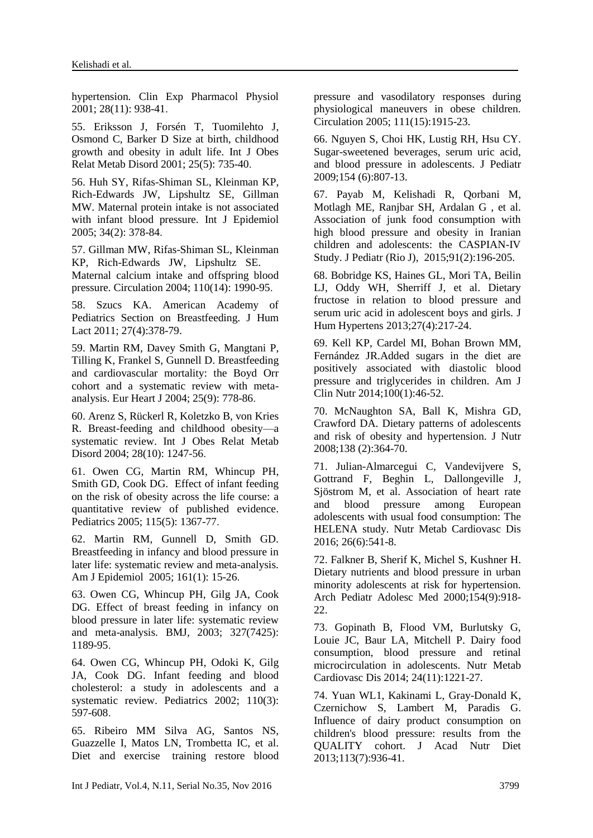hypertension. [Clin Exp Pharmacol Physiol](https://www.ncbi.nlm.nih.gov/pubmed/11703401) 2001; 28(11): 938-41.

55. [Eriksson J,](https://www.ncbi.nlm.nih.gov/pubmed/?term=Eriksson%20J%5BAuthor%5D&cauthor=true&cauthor_uid=11360158) [Forsén T,](https://www.ncbi.nlm.nih.gov/pubmed/?term=Fors%C3%A9n%20T%5BAuthor%5D&cauthor=true&cauthor_uid=11360158) [Tuomilehto J,](https://www.ncbi.nlm.nih.gov/pubmed/?term=Tuomilehto%20J%5BAuthor%5D&cauthor=true&cauthor_uid=11360158) [Osmond C,](https://www.ncbi.nlm.nih.gov/pubmed/?term=Osmond%20C%5BAuthor%5D&cauthor=true&cauthor_uid=11360158) [Barker D](https://www.ncbi.nlm.nih.gov/pubmed/?term=Barker%20D%5BAuthor%5D&cauthor=true&cauthor_uid=11360158) Size at birth, childhood growth and obesity in adult life. Int J Obes Relat Metab Disord 2001; 25(5): 735-40.

56. [Huh SY,](https://www.ncbi.nlm.nih.gov/pubmed/?term=Huh%20SY%5BAuthor%5D&cauthor=true&cauthor_uid=15576466) [Rifas-Shiman SL,](https://www.ncbi.nlm.nih.gov/pubmed/?term=Rifas-Shiman%20SL%5BAuthor%5D&cauthor=true&cauthor_uid=15576466) [Kleinman KP,](https://www.ncbi.nlm.nih.gov/pubmed/?term=Kleinman%20KP%5BAuthor%5D&cauthor=true&cauthor_uid=15576466) [Rich-Edwards JW,](https://www.ncbi.nlm.nih.gov/pubmed/?term=Rich-Edwards%20JW%5BAuthor%5D&cauthor=true&cauthor_uid=15576466) [Lipshultz SE,](https://www.ncbi.nlm.nih.gov/pubmed/?term=Lipshultz%20SE%5BAuthor%5D&cauthor=true&cauthor_uid=15576466) [Gillman](https://www.ncbi.nlm.nih.gov/pubmed/?term=Gillman%20MW%5BAuthor%5D&cauthor=true&cauthor_uid=15576466)  [MW.](https://www.ncbi.nlm.nih.gov/pubmed/?term=Gillman%20MW%5BAuthor%5D&cauthor=true&cauthor_uid=15576466) Maternal protein intake is not associated with infant blood pressure. [Int J Epidemiol](https://www.ncbi.nlm.nih.gov/pubmed/?term=Maternal+protein+intake+is+not+associated+with+infant+blood+pressure.+International+journal+of+epidemiology%2C+2005.+34%282%29%3A+p.+378-384) 2005; 34(2): 378-84.

57. [Gillman MW,](https://www.ncbi.nlm.nih.gov/pubmed/?term=Gillman%20MW%5BAuthor%5D&cauthor=true&cauthor_uid=15451777) [Rifas-Shiman SL,](https://www.ncbi.nlm.nih.gov/pubmed/?term=Rifas-Shiman%20SL%5BAuthor%5D&cauthor=true&cauthor_uid=15451777) [Kleinman](https://www.ncbi.nlm.nih.gov/pubmed/?term=Kleinman%20KP%5BAuthor%5D&cauthor=true&cauthor_uid=15451777)  [KP,](https://www.ncbi.nlm.nih.gov/pubmed/?term=Kleinman%20KP%5BAuthor%5D&cauthor=true&cauthor_uid=15451777) [Rich-Edwards JW,](https://www.ncbi.nlm.nih.gov/pubmed/?term=Rich-Edwards%20JW%5BAuthor%5D&cauthor=true&cauthor_uid=15451777) [Lipshultz SE.](https://www.ncbi.nlm.nih.gov/pubmed/?term=Lipshultz%20SE%5BAuthor%5D&cauthor=true&cauthor_uid=15451777) Maternal calcium intake and offspring blood pressure. Circulation 2004; 110(14): 1990-95.

58. [Szucs KA.](https://www.ncbi.nlm.nih.gov/pubmed/?term=Szucs%20KA%5BAuthor%5D&cauthor=true&cauthor_uid=22048758) American Academy of Pediatrics Section on Breastfeeding. J Hum Lact 2011; 27(4):378-79.

59. [Martin RM,](https://www.ncbi.nlm.nih.gov/pubmed/?term=Martin%20RM%5BAuthor%5D&cauthor=true&cauthor_uid=15120889) [Davey Smith G,](https://www.ncbi.nlm.nih.gov/pubmed/?term=Davey%20Smith%20G%5BAuthor%5D&cauthor=true&cauthor_uid=15120889) [Mangtani P,](https://www.ncbi.nlm.nih.gov/pubmed/?term=Mangtani%20P%5BAuthor%5D&cauthor=true&cauthor_uid=15120889) [Tilling K,](https://www.ncbi.nlm.nih.gov/pubmed/?term=Tilling%20K%5BAuthor%5D&cauthor=true&cauthor_uid=15120889) [Frankel S,](https://www.ncbi.nlm.nih.gov/pubmed/?term=Frankel%20S%5BAuthor%5D&cauthor=true&cauthor_uid=15120889) [Gunnell D.](https://www.ncbi.nlm.nih.gov/pubmed/?term=Gunnell%20D%5BAuthor%5D&cauthor=true&cauthor_uid=15120889) Breastfeeding and cardiovascular mortality: the Boyd Orr cohort and a systematic review with metaanalysis. [Eur Heart J](https://www.ncbi.nlm.nih.gov/pubmed/?term=Breastfeeding+and+cardiovascular+mortality%3A+the+Boyd+Orr+cohort+and+a+systematic+review+with+meta-analysis.) 2004; 25(9): 778-86.

60. [Arenz S,](https://www.ncbi.nlm.nih.gov/pubmed/?term=Arenz%20S%5BAuthor%5D&cauthor=true&cauthor_uid=15314625) [Rückerl R,](https://www.ncbi.nlm.nih.gov/pubmed/?term=R%C3%BCckerl%20R%5BAuthor%5D&cauthor=true&cauthor_uid=15314625) [Koletzko B,](https://www.ncbi.nlm.nih.gov/pubmed/?term=Koletzko%20B%5BAuthor%5D&cauthor=true&cauthor_uid=15314625) [von Kries](https://www.ncbi.nlm.nih.gov/pubmed/?term=von%20Kries%20R%5BAuthor%5D&cauthor=true&cauthor_uid=15314625)  [R.](https://www.ncbi.nlm.nih.gov/pubmed/?term=von%20Kries%20R%5BAuthor%5D&cauthor=true&cauthor_uid=15314625) Breast-feeding and childhood obesity—a systematic review. [Int J Obes Relat Metab](https://www.ncbi.nlm.nih.gov/pubmed/15314625)  [Disord](https://www.ncbi.nlm.nih.gov/pubmed/15314625) 2004; 28(10): 1247-56.

61. [Owen CG,](https://www.ncbi.nlm.nih.gov/pubmed/?term=Owen%20CG%5BAuthor%5D&cauthor=true&cauthor_uid=15867049) [Martin RM,](https://www.ncbi.nlm.nih.gov/pubmed/?term=Martin%20RM%5BAuthor%5D&cauthor=true&cauthor_uid=15867049) [Whincup PH,](https://www.ncbi.nlm.nih.gov/pubmed/?term=Whincup%20PH%5BAuthor%5D&cauthor=true&cauthor_uid=15867049) [Smith GD,](https://www.ncbi.nlm.nih.gov/pubmed/?term=Smith%20GD%5BAuthor%5D&cauthor=true&cauthor_uid=15867049) [Cook DG.](https://www.ncbi.nlm.nih.gov/pubmed/?term=Cook%20DG%5BAuthor%5D&cauthor=true&cauthor_uid=15867049) Effect of infant feeding on the risk of obesity across the life course: a quantitative review of published evidence. Pediatrics 2005; 115(5): 1367-77.

62. [Martin RM,](https://www.ncbi.nlm.nih.gov/pubmed/?term=Martin%20RM%5BAuthor%5D&cauthor=true&cauthor_uid=15615909) [Gunnell D,](https://www.ncbi.nlm.nih.gov/pubmed/?term=Gunnell%20D%5BAuthor%5D&cauthor=true&cauthor_uid=15615909) [Smith GD.](https://www.ncbi.nlm.nih.gov/pubmed/?term=Smith%20GD%5BAuthor%5D&cauthor=true&cauthor_uid=15615909) Breastfeeding in infancy and blood pressure in later life: systematic review and meta-analysis. [Am J Epidemiol](https://www.ncbi.nlm.nih.gov/pubmed/?term=Smith%2C+Breastfeeding+in+infancy+and+blood+pressure+in+later+life%3A+systematic+review+and+meta-analysis.) 2005; 161(1): 15-26.

63. [Owen CG,](https://www.ncbi.nlm.nih.gov/pubmed/?term=Owen%20CG%5BAuthor%5D&cauthor=true&cauthor_uid=14630752) [Whincup PH,](https://www.ncbi.nlm.nih.gov/pubmed/?term=Whincup%20PH%5BAuthor%5D&cauthor=true&cauthor_uid=14630752) [Gilg JA,](https://www.ncbi.nlm.nih.gov/pubmed/?term=Gilg%20JA%5BAuthor%5D&cauthor=true&cauthor_uid=14630752) [Cook](https://www.ncbi.nlm.nih.gov/pubmed/?term=Cook%20DG%5BAuthor%5D&cauthor=true&cauthor_uid=14630752)  [DG.](https://www.ncbi.nlm.nih.gov/pubmed/?term=Cook%20DG%5BAuthor%5D&cauthor=true&cauthor_uid=14630752) Effect of breast feeding in infancy on blood pressure in later life: systematic review and meta-analysis. BMJ, 2003; 327(7425): 1189-95.

64. [Owen CG,](https://www.ncbi.nlm.nih.gov/pubmed/?term=Owen%20CG%5BAuthor%5D&cauthor=true&cauthor_uid=12205266) [Whincup PH,](https://www.ncbi.nlm.nih.gov/pubmed/?term=Whincup%20PH%5BAuthor%5D&cauthor=true&cauthor_uid=12205266) [Odoki K,](https://www.ncbi.nlm.nih.gov/pubmed/?term=Odoki%20K%5BAuthor%5D&cauthor=true&cauthor_uid=12205266) [Gilg](https://www.ncbi.nlm.nih.gov/pubmed/?term=Gilg%20JA%5BAuthor%5D&cauthor=true&cauthor_uid=12205266)  [JA,](https://www.ncbi.nlm.nih.gov/pubmed/?term=Gilg%20JA%5BAuthor%5D&cauthor=true&cauthor_uid=12205266) [Cook DG.](https://www.ncbi.nlm.nih.gov/pubmed/?term=Cook%20DG%5BAuthor%5D&cauthor=true&cauthor_uid=12205266) Infant feeding and blood cholesterol: a study in adolescents and a systematic review. Pediatrics 2002; 110(3): 597-608.

65. [Ribeiro MM](http://www.ncbi.nlm.nih.gov/pubmed/?term=Ribeiro%20MM%5BAuthor%5D&cauthor=true&cauthor_uid=15837944) [Silva AG,](http://www.ncbi.nlm.nih.gov/pubmed/?term=Silva%20AG%5BAuthor%5D&cauthor=true&cauthor_uid=15837944) [Santos NS,](http://www.ncbi.nlm.nih.gov/pubmed/?term=Santos%20NS%5BAuthor%5D&cauthor=true&cauthor_uid=15837944) [Guazzelle I,](http://www.ncbi.nlm.nih.gov/pubmed/?term=Guazzelle%20I%5BAuthor%5D&cauthor=true&cauthor_uid=15837944) [Matos LN,](http://www.ncbi.nlm.nih.gov/pubmed/?term=Matos%20LN%5BAuthor%5D&cauthor=true&cauthor_uid=15837944) [Trombetta IC,](http://www.ncbi.nlm.nih.gov/pubmed/?term=Trombetta%20IC%5BAuthor%5D&cauthor=true&cauthor_uid=15837944) et al. Diet and exercise training restore blood

pressure and vasodilatory responses during physiological maneuvers in obese children. [Circulation](http://www.ncbi.nlm.nih.gov/pubmed/?term=Diet+and+Exercise+Training+Restore+Blood+Pressure+and+Vasodilatory+Responses+During+Physiological+Maneuvers+in+Obese+Children) 2005; 111(15):1915-23.

66. [Nguyen S,](http://www.ncbi.nlm.nih.gov/pubmed/?term=Nguyen%20S%5BAuthor%5D&cauthor=true&cauthor_uid=19375714) [Choi HK,](http://www.ncbi.nlm.nih.gov/pubmed/?term=Choi%20HK%5BAuthor%5D&cauthor=true&cauthor_uid=19375714) [Lustig RH,](http://www.ncbi.nlm.nih.gov/pubmed/?term=Lustig%20RH%5BAuthor%5D&cauthor=true&cauthor_uid=19375714) [Hsu CY.](http://www.ncbi.nlm.nih.gov/pubmed/?term=Hsu%20CY%5BAuthor%5D&cauthor=true&cauthor_uid=19375714) Sugar-sweetened beverages, serum uric acid, and blood pressure in adolescents. [J Pediatr](http://www.ncbi.nlm.nih.gov/pubmed/?term=Sugar-Sweetened+Beverages%2C+Serum+Uric+Acid%2C+and+Blood+Pressure+in+Adolescents) 2009;154 (6):807-13.

67. [Payab M,](http://www.ncbi.nlm.nih.gov/pubmed/?term=Payab%20M%5BAuthor%5D&cauthor=true&cauthor_uid=25449791) [Kelishadi R,](http://www.ncbi.nlm.nih.gov/pubmed/?term=Kelishadi%20R%5BAuthor%5D&cauthor=true&cauthor_uid=25449791) [Qorbani M,](http://www.ncbi.nlm.nih.gov/pubmed/?term=Qorbani%20M%5BAuthor%5D&cauthor=true&cauthor_uid=25449791) [Motlagh ME,](http://www.ncbi.nlm.nih.gov/pubmed/?term=Motlagh%20ME%5BAuthor%5D&cauthor=true&cauthor_uid=25449791) [Ranjbar SH,](http://www.ncbi.nlm.nih.gov/pubmed/?term=Ranjbar%20SH%5BAuthor%5D&cauthor=true&cauthor_uid=25449791) [Ardalan G](http://www.ncbi.nlm.nih.gov/pubmed/?term=Ardalan%20G%5BAuthor%5D&cauthor=true&cauthor_uid=25449791) , et al. Association of junk food consumption with high blood pressure and obesity in Iranian children and adolescents: the CASPIAN-IV Study. [J Pediatr \(Rio J\),](http://www.ncbi.nlm.nih.gov/pubmed/?term=Association+of+junk+food+consumption+with+high+blood+pressure+and+obesity+in+Iranian+children+and+adolescents%3A+the+CASPIAN-IV+Study) 2015;91(2):196-205.

68. [Bobridge KS,](http://www.ncbi.nlm.nih.gov/pubmed/?term=Bobridge%20KS%5BAuthor%5D&cauthor=true&cauthor_uid=22971754) [Haines GL,](http://www.ncbi.nlm.nih.gov/pubmed/?term=Haines%20GL%5BAuthor%5D&cauthor=true&cauthor_uid=22971754) [Mori TA,](http://www.ncbi.nlm.nih.gov/pubmed/?term=Mori%20TA%5BAuthor%5D&cauthor=true&cauthor_uid=22971754) [Beilin](http://www.ncbi.nlm.nih.gov/pubmed/?term=Beilin%20LJ%5BAuthor%5D&cauthor=true&cauthor_uid=22971754)  [LJ,](http://www.ncbi.nlm.nih.gov/pubmed/?term=Beilin%20LJ%5BAuthor%5D&cauthor=true&cauthor_uid=22971754) [Oddy WH,](http://www.ncbi.nlm.nih.gov/pubmed/?term=Oddy%20WH%5BAuthor%5D&cauthor=true&cauthor_uid=22971754) [Sherriff J,](http://www.ncbi.nlm.nih.gov/pubmed/?term=Sherriff%20J%5BAuthor%5D&cauthor=true&cauthor_uid=22971754) et al. Dietary fructose in relation to blood pressure and serum uric acid in adolescent boys and girls. [J](http://www.ncbi.nlm.nih.gov/pubmed/?term=Dietary+fructose+in+relation+to+blood+pressure+and+serum+uric+acid+in+adolescent+boys+and+girls)  [Hum Hypertens](http://www.ncbi.nlm.nih.gov/pubmed/?term=Dietary+fructose+in+relation+to+blood+pressure+and+serum+uric+acid+in+adolescent+boys+and+girls) 2013;27(4):217-24.

69. [Kell KP,](http://www.ncbi.nlm.nih.gov/pubmed/?term=Kell%20KP%5BAuthor%5D&cauthor=true&cauthor_uid=24717340) [Cardel MI,](http://www.ncbi.nlm.nih.gov/pubmed/?term=Cardel%20MI%5BAuthor%5D&cauthor=true&cauthor_uid=24717340) [Bohan Brown MM,](http://www.ncbi.nlm.nih.gov/pubmed/?term=Bohan%20Brown%20MM%5BAuthor%5D&cauthor=true&cauthor_uid=24717340) [Fernández JR.](http://www.ncbi.nlm.nih.gov/pubmed/?term=Fern%C3%A1ndez%20JR%5BAuthor%5D&cauthor=true&cauthor_uid=24717340)Added sugars in the diet are positively associated with diastolic blood pressure and triglycerides in children. [Am J](http://www.ncbi.nlm.nih.gov/pubmed/?term=Added+sugars+in+the+diet+are+positively+associated+with+diastolic+blood+pressure+and+triglycerides+in+children)  [Clin Nutr](http://www.ncbi.nlm.nih.gov/pubmed/?term=Added+sugars+in+the+diet+are+positively+associated+with+diastolic+blood+pressure+and+triglycerides+in+children) 2014;100(1):46-52.

70. [McNaughton SA,](http://www.ncbi.nlm.nih.gov/pubmed/?term=McNaughton%20SA%5BAuthor%5D&cauthor=true&cauthor_uid=18203905) [Ball K,](http://www.ncbi.nlm.nih.gov/pubmed/?term=Ball%20K%5BAuthor%5D&cauthor=true&cauthor_uid=18203905) [Mishra GD,](http://www.ncbi.nlm.nih.gov/pubmed/?term=Mishra%20GD%5BAuthor%5D&cauthor=true&cauthor_uid=18203905) [Crawford DA.](http://www.ncbi.nlm.nih.gov/pubmed/?term=Crawford%20DA%5BAuthor%5D&cauthor=true&cauthor_uid=18203905) Dietary patterns of adolescents and risk of obesity and hypertension. [J Nutr](http://www.ncbi.nlm.nih.gov/pubmed/18203905) 2008;138 (2):364-70.

71. [Julian-Almarcegui C,](http://www.ncbi.nlm.nih.gov/pubmed/?term=Juli%C3%A1n-Alm%C3%A1rcegui%20C%5BAuthor%5D&cauthor=true&cauthor_uid=27174584) [Vandevijvere S,](http://www.ncbi.nlm.nih.gov/pubmed/?term=Vandevijvere%20S%5BAuthor%5D&cauthor=true&cauthor_uid=27174584) [Gottrand F,](http://www.ncbi.nlm.nih.gov/pubmed/?term=Gottrand%20F%5BAuthor%5D&cauthor=true&cauthor_uid=27174584) [Beghin L,](http://www.ncbi.nlm.nih.gov/pubmed/?term=Beghin%20L%5BAuthor%5D&cauthor=true&cauthor_uid=27174584) [Dallongeville J,](http://www.ncbi.nlm.nih.gov/pubmed/?term=Dallongeville%20J%5BAuthor%5D&cauthor=true&cauthor_uid=27174584) [Sjöstrom M,](http://www.ncbi.nlm.nih.gov/pubmed/?term=Sj%C3%B6strom%20M%5BAuthor%5D&cauthor=true&cauthor_uid=27174584) et al. Association of heart rate and blood pressure among European adolescents with usual food consumption: The HELENA study. [Nutr Metab Cardiovasc Dis](http://www.ncbi.nlm.nih.gov/pubmed/?term=Association+of+heart+rate+and+blood+pressure+among+European+adolescents+with+usual+food+consumption%3A+The+HELENA+study) 2016; 26(6):541-8.

72. [Falkner B,](http://www.ncbi.nlm.nih.gov/pubmed/?term=Falkner%20B%5BAuthor%5D&cauthor=true&cauthor_uid=10980796) [Sherif K,](http://www.ncbi.nlm.nih.gov/pubmed/?term=Sherif%20K%5BAuthor%5D&cauthor=true&cauthor_uid=10980796) [Michel S,](http://www.ncbi.nlm.nih.gov/pubmed/?term=Michel%20S%5BAuthor%5D&cauthor=true&cauthor_uid=10980796) [Kushner H.](http://www.ncbi.nlm.nih.gov/pubmed/?term=Kushner%20H%5BAuthor%5D&cauthor=true&cauthor_uid=10980796) Dietary nutrients and blood pressure in urban minority adolescents at risk for hypertension. [Arch Pediatr Adolesc Med](http://www.ncbi.nlm.nih.gov/pubmed/?term=Dietary+Nutrients+and+Blood+Pressure+in+Urban+Minority+Adolescents+at+Risk+for+Hypertension) 2000;154(9):918- 22.

73. [Gopinath B,](http://www.ncbi.nlm.nih.gov/pubmed/?term=Gopinath%20B%5BAuthor%5D&cauthor=true&cauthor_uid=24996501) [Flood VM,](http://www.ncbi.nlm.nih.gov/pubmed/?term=Flood%20VM%5BAuthor%5D&cauthor=true&cauthor_uid=24996501) [Burlutsky G,](http://www.ncbi.nlm.nih.gov/pubmed/?term=Burlutsky%20G%5BAuthor%5D&cauthor=true&cauthor_uid=24996501) [Louie JC,](http://www.ncbi.nlm.nih.gov/pubmed/?term=Louie%20JC%5BAuthor%5D&cauthor=true&cauthor_uid=24996501) [Baur LA,](http://www.ncbi.nlm.nih.gov/pubmed/?term=Baur%20LA%5BAuthor%5D&cauthor=true&cauthor_uid=24996501) [Mitchell P.](http://www.ncbi.nlm.nih.gov/pubmed/?term=Mitchell%20P%5BAuthor%5D&cauthor=true&cauthor_uid=24996501) Dairy food consumption, blood pressure and retinal microcirculation in adolescents. [Nutr Metab](http://www.ncbi.nlm.nih.gov/pubmed/?term=Dairy+food+consumption%2C+blood+pressure+and+retinal+microcirculation+in+adolescents)  [Cardiovasc Dis](http://www.ncbi.nlm.nih.gov/pubmed/?term=Dairy+food+consumption%2C+blood+pressure+and+retinal+microcirculation+in+adolescents) 2014; 24(11):1221-27.

74. [Yuan WL1](http://www.ncbi.nlm.nih.gov/pubmed/?term=Yuan%20WL%5BAuthor%5D&cauthor=true&cauthor_uid=23684662), [Kakinami L,](http://www.ncbi.nlm.nih.gov/pubmed/?term=Kakinami%20L%5BAuthor%5D&cauthor=true&cauthor_uid=23684662) [Gray-Donald K,](http://www.ncbi.nlm.nih.gov/pubmed/?term=Gray-Donald%20K%5BAuthor%5D&cauthor=true&cauthor_uid=23684662) [Czernichow S,](http://www.ncbi.nlm.nih.gov/pubmed/?term=Czernichow%20S%5BAuthor%5D&cauthor=true&cauthor_uid=23684662) [Lambert M,](http://www.ncbi.nlm.nih.gov/pubmed/?term=Lambert%20M%5BAuthor%5D&cauthor=true&cauthor_uid=23684662) [Paradis G.](http://www.ncbi.nlm.nih.gov/pubmed/?term=Paradis%20G%5BAuthor%5D&cauthor=true&cauthor_uid=23684662) Influence of dairy product consumption on children's blood pressure: results from the QUALITY cohort. [J Acad Nutr Diet](http://www.ncbi.nlm.nih.gov/pubmed/?term=Influence+of+Dairy+Product+Consumption+on+Children%27s+Blood+Pressure%3A+Results+from+the+QUALITY+Cohort) 2013;113(7):936-41.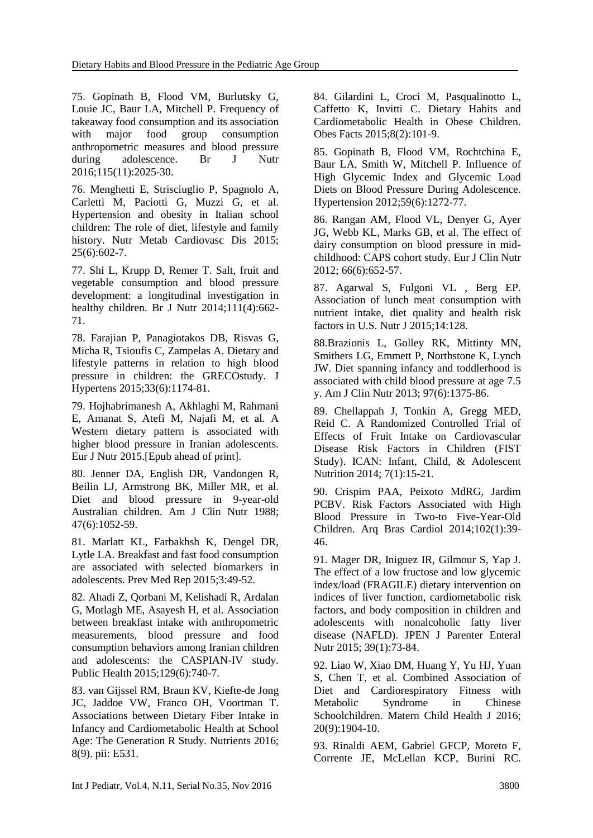75. [Gopinath B,](http://www.ncbi.nlm.nih.gov/pubmed/?term=Gopinath%20B%5BAuthor%5D&cauthor=true&cauthor_uid=27046032) [Flood VM,](http://www.ncbi.nlm.nih.gov/pubmed/?term=Flood%20VM%5BAuthor%5D&cauthor=true&cauthor_uid=27046032) [Burlutsky G,](http://www.ncbi.nlm.nih.gov/pubmed/?term=Burlutsky%20G%5BAuthor%5D&cauthor=true&cauthor_uid=27046032) [Louie JC,](http://www.ncbi.nlm.nih.gov/pubmed/?term=Louie%20JC%5BAuthor%5D&cauthor=true&cauthor_uid=27046032) [Baur LA,](http://www.ncbi.nlm.nih.gov/pubmed/?term=Baur%20LA%5BAuthor%5D&cauthor=true&cauthor_uid=27046032) [Mitchell P.](http://www.ncbi.nlm.nih.gov/pubmed/?term=Mitchell%20P%5BAuthor%5D&cauthor=true&cauthor_uid=27046032) Frequency of takeaway food consumption and its association with major food group consumption anthropometric measures and blood pressure during adolescence. [Br J Nutr](http://www.ncbi.nlm.nih.gov/pubmed/?term=Frequency+of+takeaway+food+consumption+and+its+association+with+major+food+group+consumption%2C+anthropometric+measures+and+blood+pressure+during+adolescence.) 2016;115(11):2025-30.

76. [Menghetti E,](http://www.ncbi.nlm.nih.gov/pubmed/?term=Menghetti%20E%5BAuthor%5D&cauthor=true&cauthor_uid=25858615) [Strisciuglio P,](http://www.ncbi.nlm.nih.gov/pubmed/?term=Strisciuglio%20P%5BAuthor%5D&cauthor=true&cauthor_uid=25858615) [Spagnolo A,](http://www.ncbi.nlm.nih.gov/pubmed/?term=Spagnolo%20A%5BAuthor%5D&cauthor=true&cauthor_uid=25858615) [Carletti M,](http://www.ncbi.nlm.nih.gov/pubmed/?term=Carletti%20M%5BAuthor%5D&cauthor=true&cauthor_uid=25858615) [Paciotti G,](http://www.ncbi.nlm.nih.gov/pubmed/?term=Paciotti%20G%5BAuthor%5D&cauthor=true&cauthor_uid=25858615) [Muzzi G,](http://www.ncbi.nlm.nih.gov/pubmed/?term=Muzzi%20G%5BAuthor%5D&cauthor=true&cauthor_uid=25858615) et al. Hypertension and obesity in Italian school children: The role of diet, lifestyle and family history. [Nutr Metab Cardiovasc Dis](http://www.ncbi.nlm.nih.gov/pubmed/?term=Hypertension+and+obesity+in+Italian+school+children%3A+The+role+of+diet%2C+lifestyle+and+family+history*) 2015; 25(6):602-7.

77. [Shi L,](http://www.ncbi.nlm.nih.gov/pubmed/?term=Shi%20L%5BAuthor%5D&cauthor=true&cauthor_uid=24326147) [Krupp D,](http://www.ncbi.nlm.nih.gov/pubmed/?term=Krupp%20D%5BAuthor%5D&cauthor=true&cauthor_uid=24326147) [Remer T.](http://www.ncbi.nlm.nih.gov/pubmed/?term=Remer%20T%5BAuthor%5D&cauthor=true&cauthor_uid=24326147) Salt, fruit and vegetable consumption and blood pressure development: a longitudinal investigation in healthy children. [Br J Nutr](http://www.ncbi.nlm.nih.gov/pubmed/?term=Salt%2C+fruit+and+vegetable+consumption+and+blood+pressure+development%3A+a+longitudinal+investigation+in+healthy+children) 2014;111(4):662- 71.

78. [Farajian P,](http://www.ncbi.nlm.nih.gov/pubmed/?term=Farajian%20P%5BAuthor%5D&cauthor=true&cauthor_uid=25715091) [Panagiotakos DB,](http://www.ncbi.nlm.nih.gov/pubmed/?term=Panagiotakos%20DB%5BAuthor%5D&cauthor=true&cauthor_uid=25715091) [Risvas G,](http://www.ncbi.nlm.nih.gov/pubmed/?term=Risvas%20G%5BAuthor%5D&cauthor=true&cauthor_uid=25715091) [Micha R,](http://www.ncbi.nlm.nih.gov/pubmed/?term=Micha%20R%5BAuthor%5D&cauthor=true&cauthor_uid=25715091) [Tsioufis C,](http://www.ncbi.nlm.nih.gov/pubmed/?term=Tsioufis%20C%5BAuthor%5D&cauthor=true&cauthor_uid=25715091) [Zampelas A.](http://www.ncbi.nlm.nih.gov/pubmed/?term=Zampelas%20A%5BAuthor%5D&cauthor=true&cauthor_uid=25715091) Dietary and lifestyle patterns in relation to high blood pressure in children: the GRECOstudy. [J](http://www.ncbi.nlm.nih.gov/pubmed/?term=Dietary+and+lifestyle+patterns+in+relation+to+high+blood+pressure+in+children%3A+the+GRECOstudy)  [Hypertens](http://www.ncbi.nlm.nih.gov/pubmed/?term=Dietary+and+lifestyle+patterns+in+relation+to+high+blood+pressure+in+children%3A+the+GRECOstudy) 2015;33(6):1174-81.

79. [Hojhabrimanesh A,](http://www.ncbi.nlm.nih.gov/pubmed/?term=Hojhabrimanesh%20A%5BAuthor%5D&cauthor=true&cauthor_uid=26534856) [Akhlaghi M,](http://www.ncbi.nlm.nih.gov/pubmed/?term=Akhlaghi%20M%5BAuthor%5D&cauthor=true&cauthor_uid=26534856) [Rahmani](http://www.ncbi.nlm.nih.gov/pubmed/?term=Rahmani%20E%5BAuthor%5D&cauthor=true&cauthor_uid=26534856)  [E,](http://www.ncbi.nlm.nih.gov/pubmed/?term=Rahmani%20E%5BAuthor%5D&cauthor=true&cauthor_uid=26534856) [Amanat S,](http://www.ncbi.nlm.nih.gov/pubmed/?term=Amanat%20S%5BAuthor%5D&cauthor=true&cauthor_uid=26534856) [Atefi M,](http://www.ncbi.nlm.nih.gov/pubmed/?term=Atefi%20M%5BAuthor%5D&cauthor=true&cauthor_uid=26534856) [Najafi M,](http://www.ncbi.nlm.nih.gov/pubmed/?term=Najafi%20M%5BAuthor%5D&cauthor=true&cauthor_uid=26534856) et al. A Western dietary pattern is associated with higher blood pressure in Iranian adolescents. [Eur J Nutr](http://www.ncbi.nlm.nih.gov/pubmed/?term=A+Western+dietary+pattern+is+associated+with+higher+blood+pressure+in+Iranian+adolescents) 2015.[Epub ahead of print].

80. [Jenner DA,](http://www.ncbi.nlm.nih.gov/pubmed/?term=Jenner%20DA%5BAuthor%5D&cauthor=true&cauthor_uid=2837079) [English DR,](http://www.ncbi.nlm.nih.gov/pubmed/?term=English%20DR%5BAuthor%5D&cauthor=true&cauthor_uid=2837079) [Vandongen R,](http://www.ncbi.nlm.nih.gov/pubmed/?term=Vandongen%20R%5BAuthor%5D&cauthor=true&cauthor_uid=2837079) [Beilin LJ,](http://www.ncbi.nlm.nih.gov/pubmed/?term=Beilin%20LJ%5BAuthor%5D&cauthor=true&cauthor_uid=2837079) [Armstrong BK,](http://www.ncbi.nlm.nih.gov/pubmed/?term=Armstrong%20BK%5BAuthor%5D&cauthor=true&cauthor_uid=2837079) [Miller MR,](http://www.ncbi.nlm.nih.gov/pubmed/?term=Miller%20MR%5BAuthor%5D&cauthor=true&cauthor_uid=2837079) et al. Diet and blood pressure in 9-year-old Australian children. [Am J Clin Nutr](http://www.ncbi.nlm.nih.gov/pubmed/?term=Diet+and+blood+pressure+in+9-year-old+Australian+children.) 1988; 47(6):1052-59.

81. [Marlatt KL,](http://www.ncbi.nlm.nih.gov/pubmed/?term=Marlatt%20KL%5BAuthor%5D&cauthor=true&cauthor_uid=26844187) [Farbakhsh K,](http://www.ncbi.nlm.nih.gov/pubmed/?term=Farbakhsh%20K%5BAuthor%5D&cauthor=true&cauthor_uid=26844187) [Dengel DR,](http://www.ncbi.nlm.nih.gov/pubmed/?term=Dengel%20DR%5BAuthor%5D&cauthor=true&cauthor_uid=26844187) [Lytle LA.](http://www.ncbi.nlm.nih.gov/pubmed/?term=Lytle%20LA%5BAuthor%5D&cauthor=true&cauthor_uid=26844187) Breakfast and fast food consumption are associated with selected biomarkers in adolescents. [Prev Med Rep](http://www.ncbi.nlm.nih.gov/pubmed/?term=Breakfast+and+fast+food+consumption+are+associated+with+selected+biomarkers+in+adolescents) 2015;3:49-52.

82. [Ahadi Z,](http://www.ncbi.nlm.nih.gov/pubmed/?term=Ahadi%20Z%5BAuthor%5D&cauthor=true&cauthor_uid=26043966) [Qorbani M,](http://www.ncbi.nlm.nih.gov/pubmed/?term=Qorbani%20M%5BAuthor%5D&cauthor=true&cauthor_uid=26043966) [Kelishadi R,](http://www.ncbi.nlm.nih.gov/pubmed/?term=Kelishadi%20R%5BAuthor%5D&cauthor=true&cauthor_uid=26043966) [Ardalan](http://www.ncbi.nlm.nih.gov/pubmed/?term=Ardalan%20G%5BAuthor%5D&cauthor=true&cauthor_uid=26043966)  [G,](http://www.ncbi.nlm.nih.gov/pubmed/?term=Ardalan%20G%5BAuthor%5D&cauthor=true&cauthor_uid=26043966) [Motlagh ME,](http://www.ncbi.nlm.nih.gov/pubmed/?term=Motlagh%20ME%5BAuthor%5D&cauthor=true&cauthor_uid=26043966) [Asayesh H,](http://www.ncbi.nlm.nih.gov/pubmed/?term=Asayesh%20H%5BAuthor%5D&cauthor=true&cauthor_uid=26043966) et al. Association between breakfast intake with anthropometric measurements, blood pressure and food consumption behaviors among Iranian children and adolescents: the CASPIAN-IV study. [Public Health](http://www.ncbi.nlm.nih.gov/pubmed/?term=Association+between+breakfast+intake+with+anthropometric+measurements%2C+blood+pressure+and+food+consumption+behaviors+among+Iranian+children+and+adolescents%3A+the+CASPIAN-IV+study) 2015;129(6):740-7.

83. van Gijssel RM, [Braun KV,](http://www.ncbi.nlm.nih.gov/pubmed/?term=Braun%20KV%5BAuthor%5D&cauthor=true&cauthor_uid=27589791) [Kiefte-de Jong](http://www.ncbi.nlm.nih.gov/pubmed/?term=Kiefte-de%20Jong%20JC%5BAuthor%5D&cauthor=true&cauthor_uid=27589791)  [JC,](http://www.ncbi.nlm.nih.gov/pubmed/?term=Kiefte-de%20Jong%20JC%5BAuthor%5D&cauthor=true&cauthor_uid=27589791) [Jaddoe VW,](http://www.ncbi.nlm.nih.gov/pubmed/?term=Jaddoe%20VW%5BAuthor%5D&cauthor=true&cauthor_uid=27589791) [Franco OH,](http://www.ncbi.nlm.nih.gov/pubmed/?term=Franco%20OH%5BAuthor%5D&cauthor=true&cauthor_uid=27589791) [Voortman T.](http://www.ncbi.nlm.nih.gov/pubmed/?term=Voortman%20T%5BAuthor%5D&cauthor=true&cauthor_uid=27589791) Associations between Dietary Fiber Intake in Infancy and Cardiometabolic Health at School Age: The Generation R Study. [Nutrients](http://www.ncbi.nlm.nih.gov/pubmed/?term=Associations+between+Dietary+Fiber+Intake+in+Infancy+and+Cardiometabolic+Health+at+School+Age%3A+The+Generation+R+Study) 2016; 8(9). pii: E531.

84. [Gilardini L,](http://www.ncbi.nlm.nih.gov/pubmed/?term=Gilardini%20L%5BAuthor%5D&cauthor=true&cauthor_uid=26087840) [Croci M,](http://www.ncbi.nlm.nih.gov/pubmed/?term=Croci%20M%5BAuthor%5D&cauthor=true&cauthor_uid=26087840) [Pasqualinotto L,](http://www.ncbi.nlm.nih.gov/pubmed/?term=Pasqualinotto%20L%5BAuthor%5D&cauthor=true&cauthor_uid=26087840) [Caffetto K,](http://www.ncbi.nlm.nih.gov/pubmed/?term=Caffetto%20K%5BAuthor%5D&cauthor=true&cauthor_uid=26087840) [Invitti C.](http://www.ncbi.nlm.nih.gov/pubmed/?term=Invitti%20C%5BAuthor%5D&cauthor=true&cauthor_uid=26087840) Dietary Habits and Cardiometabolic Health in Obese Children. [Obes Facts](http://www.ncbi.nlm.nih.gov/pubmed/26087840) 2015;8(2):101-9.

85. [Gopinath B,](http://www.ncbi.nlm.nih.gov/pubmed/?term=Gopinath%20B%5BAuthor%5D&cauthor=true&cauthor_uid=22493075) [Flood VM,](http://www.ncbi.nlm.nih.gov/pubmed/?term=Flood%20VM%5BAuthor%5D&cauthor=true&cauthor_uid=22493075) [Rochtchina E,](http://www.ncbi.nlm.nih.gov/pubmed/?term=Rochtchina%20E%5BAuthor%5D&cauthor=true&cauthor_uid=22493075) [Baur LA,](http://www.ncbi.nlm.nih.gov/pubmed/?term=Baur%20LA%5BAuthor%5D&cauthor=true&cauthor_uid=22493075) [Smith W,](http://www.ncbi.nlm.nih.gov/pubmed/?term=Smith%20W%5BAuthor%5D&cauthor=true&cauthor_uid=22493075) [Mitchell P.](http://www.ncbi.nlm.nih.gov/pubmed/?term=Mitchell%20P%5BAuthor%5D&cauthor=true&cauthor_uid=22493075) Influence of High Glycemic Index and Glycemic Load Diets on Blood Pressure During Adolescence. [Hypertension](http://www.ncbi.nlm.nih.gov/pubmed/?term=Influence+of+High+Glycemic+Index+and+Glycemic+Load+Diets+on+Blood+Pressure+During+Adolescence) 2012;59(6):1272-77.

86. [Rangan AM,](http://www.ncbi.nlm.nih.gov/pubmed/?term=Rangan%20AM%5BAuthor%5D&cauthor=true&cauthor_uid=22234043) [Flood VL,](http://www.ncbi.nlm.nih.gov/pubmed/?term=Flood%20VL%5BAuthor%5D&cauthor=true&cauthor_uid=22234043) [Denyer G,](http://www.ncbi.nlm.nih.gov/pubmed/?term=Denyer%20G%5BAuthor%5D&cauthor=true&cauthor_uid=22234043) [Ayer](http://www.ncbi.nlm.nih.gov/pubmed/?term=Ayer%20JG%5BAuthor%5D&cauthor=true&cauthor_uid=22234043)  [JG,](http://www.ncbi.nlm.nih.gov/pubmed/?term=Ayer%20JG%5BAuthor%5D&cauthor=true&cauthor_uid=22234043) [Webb KL,](http://www.ncbi.nlm.nih.gov/pubmed/?term=Webb%20KL%5BAuthor%5D&cauthor=true&cauthor_uid=22234043) [Marks GB,](http://www.ncbi.nlm.nih.gov/pubmed/?term=Marks%20GB%5BAuthor%5D&cauthor=true&cauthor_uid=22234043) et al. The effect of dairy consumption on blood pressure in midchildhood: CAPS cohort study. [Eur J Clin Nutr](http://www.ncbi.nlm.nih.gov/pubmed/?term=The+effect+of+dairy+consumption+on+blood+pressure+in+mid-childhood%3A+CAPS+cohort+study) 2012; 66(6):652-57.

87. [Agarwal S,](https://www.ncbi.nlm.nih.gov/pubmed/?term=Agarwal%20S%5BAuthor%5D&cauthor=true&cauthor_uid=26715332) [Fulgoni VL ,](https://www.ncbi.nlm.nih.gov/pubmed/?term=Fulgoni%20VL%203rd%5BAuthor%5D&cauthor=true&cauthor_uid=26715332) [Berg EP.](https://www.ncbi.nlm.nih.gov/pubmed/?term=Berg%20EP%5BAuthor%5D&cauthor=true&cauthor_uid=26715332) Association of lunch meat consumption with nutrient intake, diet quality and health risk factors in U.S[. Nutr J](https://www.ncbi.nlm.nih.gov/pubmed/?term=Association+of+lunch+meat+consumption+with+nutrient+intake%2C+diet+quality+and+health+risk+factors+in+U.S.+children+and+adults%3A+NHANES+2007%E2%80%932010) 2015;14:128.

88[.Brazionis L,](https://www.ncbi.nlm.nih.gov/pubmed/?term=Brazionis%20L%5BAuthor%5D&cauthor=true&cauthor_uid=23636239) [Golley RK,](https://www.ncbi.nlm.nih.gov/pubmed/?term=Golley%20RK%5BAuthor%5D&cauthor=true&cauthor_uid=23636239) [Mittinty MN,](https://www.ncbi.nlm.nih.gov/pubmed/?term=Mittinty%20MN%5BAuthor%5D&cauthor=true&cauthor_uid=23636239) [Smithers LG,](https://www.ncbi.nlm.nih.gov/pubmed/?term=Smithers%20LG%5BAuthor%5D&cauthor=true&cauthor_uid=23636239) [Emmett P,](https://www.ncbi.nlm.nih.gov/pubmed/?term=Emmett%20P%5BAuthor%5D&cauthor=true&cauthor_uid=23636239) [Northstone K,](https://www.ncbi.nlm.nih.gov/pubmed/?term=Northstone%20K%5BAuthor%5D&cauthor=true&cauthor_uid=23636239) [Lynch](https://www.ncbi.nlm.nih.gov/pubmed/?term=Lynch%20JW%5BAuthor%5D&cauthor=true&cauthor_uid=23636239)  [JW.](https://www.ncbi.nlm.nih.gov/pubmed/?term=Lynch%20JW%5BAuthor%5D&cauthor=true&cauthor_uid=23636239) Diet spanning infancy and toddlerhood is associated with child blood pressure at age 7.5 y. [Am J Clin Nutr](https://www.ncbi.nlm.nih.gov/pubmed/?term=Diet+spanning+infancy+and+toddlerhood+is+associated+with+child+blood+pressure+at+age+7.5) 2013; 97(6):1375-86.

89. Chellappah J, Tonkin A, Gregg MED, Reid C. A Randomized Controlled Trial of Effects of Fruit Intake on Cardiovascular Disease Risk Factors in Children (FIST Study). ICAN: Infant, Child, & Adolescent Nutrition 2014; 7(1):15-21.

90. Crispim PAA, Peixoto MdRG, Jardim PCBV. Risk Factors Associated with High Blood Pressure in Two-to Five-Year-Old Children. [Arq Bras Cardiol](https://www.ncbi.nlm.nih.gov/pubmed/?term=Risk+Factors+Associated+with+High+Blood+Pressure+in+Two-to+Five-Year-Old+Children.) 2014;102(1):39- 46.

91. Mager DR, Iniguez IR, Gilmour S, Yap J. The effect of a low fructose and low glycemic index/load (FRAGILE) dietary intervention on indices of liver function, cardiometabolic risk factors, and body composition in children and adolescents with nonalcoholic fatty liver disease (NAFLD). [JPEN J Parenter Enteral](https://www.ncbi.nlm.nih.gov/pubmed/?term=The+effect+of+a+low+fructose+and+low+glycemic+index%2Fload+%28FRAGILE%29+dietary+intervention+on+indices+of+liver+function%2C+cardiometabolic+risk+factors%2C+and+body+composition+in+children+and+adolescents+with+nonalcoholic+fatty+liver+disease+%28NAFLD%29.)  [Nutr](https://www.ncbi.nlm.nih.gov/pubmed/?term=The+effect+of+a+low+fructose+and+low+glycemic+index%2Fload+%28FRAGILE%29+dietary+intervention+on+indices+of+liver+function%2C+cardiometabolic+risk+factors%2C+and+body+composition+in+children+and+adolescents+with+nonalcoholic+fatty+liver+disease+%28NAFLD%29.) 2015; 39(1):73-84.

92. Liao W, Xiao DM, Huang Y, Yu HJ, Yuan S, Chen T, et al. Combined Association of Diet and Cardiorespiratory Fitness with Metabolic Syndrome in Chinese Schoolchildren. [Matern Child Health J](https://www.ncbi.nlm.nih.gov/pubmed/?term=Combined+Association+of+Diet+and+Cardiorespiratory+Fitness+with+Metabolic+Syndrome+in+Chinese+Schoolchildren) 2016; 20(9):1904-10.

93. Rinaldi AEM, Gabriel GFCP, Moreto F, Corrente JE, McLellan KCP, Burini RC.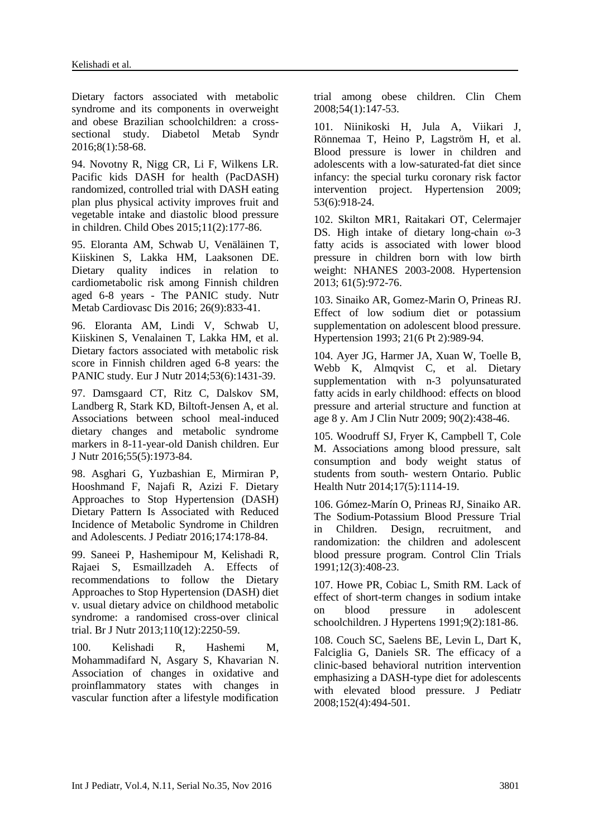Dietary factors associated with metabolic syndrome and its components in overweight and obese Brazilian schoolchildren: a crosssectional study. [Diabetol Metab Syndr](https://www.ncbi.nlm.nih.gov/pubmed/?term=Dietary+factors+associated+with+metabolic+syndrome+and+its+components+in+overweight+and+obese+Brazilian+schoolchildren%3A+a+cross-sectional+study) 2016;8(1):58-68.

94. Novotny R, Nigg CR, Li F, Wilkens LR. Pacific kids DASH for health (PacDASH) randomized, controlled trial with DASH eating plan plus physical activity improves fruit and vegetable intake and diastolic blood pressure in children. [Child Obes](https://www.ncbi.nlm.nih.gov/pubmed/?term=Pacific+kids+DASH+for+health+%28PacDASH%29+randomized%2C+controlled+trial+with+DASH+eating+plan+plus+physical+activity+improves+fruit+and+vegetable+intake+and+diastolic+blood+pressure+in+children) 2015;11(2):177-86.

95. [Eloranta AM,](https://www.ncbi.nlm.nih.gov/pubmed/?term=Eloranta%20AM%5BAuthor%5D&cauthor=true&cauthor_uid=27397511) Schwab U, [Venäläinen T,](https://www.ncbi.nlm.nih.gov/pubmed/?term=Ven%C3%A4l%C3%A4inen%20T%5BAuthor%5D&cauthor=true&cauthor_uid=27397511) [Kiiskinen S,](https://www.ncbi.nlm.nih.gov/pubmed/?term=Kiiskinen%20S%5BAuthor%5D&cauthor=true&cauthor_uid=27397511) [Lakka](https://www.ncbi.nlm.nih.gov/pubmed/?term=Lakka%20HM%5BAuthor%5D&cauthor=true&cauthor_uid=27397511) HM, [Laaksonen DE.](https://www.ncbi.nlm.nih.gov/pubmed/?term=Laaksonen%20DE%5BAuthor%5D&cauthor=true&cauthor_uid=27397511) Dietary quality indices in relation to cardiometabolic risk among Finnish children aged 6-8 years - The PANIC study. [Nutr](https://www.ncbi.nlm.nih.gov/pubmed/?term=Dietary+quality+indices+in+relation+to+cardiometabolic+risk+among+Finnish+children+aged)  [Metab Cardiovasc Dis](https://www.ncbi.nlm.nih.gov/pubmed/?term=Dietary+quality+indices+in+relation+to+cardiometabolic+risk+among+Finnish+children+aged) 2016; 26(9):833-41.

96. Eloranta AM, Lindi V, Schwab U, Kiiskinen S, Venalainen T, Lakka HM, et al. Dietary factors associated with metabolic risk score in Finnish children aged 6-8 years: the PANIC study. Eur J Nutr 2014;53(6):1431-39.

97. Damsgaard CT, Ritz C, Dalskov SM, Landberg R, Stark KD, Biltoft-Jensen A, et al. Associations between school meal-induced dietary changes and metabolic syndrome markers in 8-11-year-old Danish children. [Eur](https://www.ncbi.nlm.nih.gov/pubmed/?term=Associations+between+school+meal-induced+dietary+changes+and+metabolic+syndrome+markers+in+8-11-year-old+Danish+children)  [J Nutr](https://www.ncbi.nlm.nih.gov/pubmed/?term=Associations+between+school+meal-induced+dietary+changes+and+metabolic+syndrome+markers+in+8-11-year-old+Danish+children) 2016;55(5):1973-84.

98. Asghari G, Yuzbashian E, Mirmiran P, Hooshmand F, Najafi R, Azizi F. Dietary Approaches to Stop Hypertension (DASH) Dietary Pattern Is Associated with Reduced Incidence of Metabolic Syndrome in Children and Adolescents. [J Pediatr](https://www.ncbi.nlm.nih.gov/pubmed/?term=Dietary+Approaches+to+Stop+Hypertension+%28DASH%29+Dietary+Pattern+Is+Associated+with+Reduced+Incidence+of+Metabolic+Syndrome+in+Children+and+Adolescents) 2016;174:178-84.

99. [Saneei P,](https://www.ncbi.nlm.nih.gov/pubmed/?term=Saneei%20P%5BAuthor%5D&cauthor=true&cauthor_uid=23773316) [Hashemipour M,](https://www.ncbi.nlm.nih.gov/pubmed/?term=Hashemipour%20M%5BAuthor%5D&cauthor=true&cauthor_uid=23773316) [Kelishadi R,](https://www.ncbi.nlm.nih.gov/pubmed/?term=Kelishadi%20R%5BAuthor%5D&cauthor=true&cauthor_uid=23773316) [Rajaei S,](https://www.ncbi.nlm.nih.gov/pubmed/?term=Rajaei%20S%5BAuthor%5D&cauthor=true&cauthor_uid=23773316) [Esmaillzadeh A.](https://www.ncbi.nlm.nih.gov/pubmed/?term=Esmaillzadeh%20A%5BAuthor%5D&cauthor=true&cauthor_uid=23773316) Effects of recommendations to follow the Dietary Approaches to Stop Hypertension (DASH) diet v. usual dietary advice on childhood metabolic syndrome: a randomised cross-over clinical trial. [Br J Nutr](https://www.ncbi.nlm.nih.gov/pubmed/?term=Effects+of+recommendations+to+follow+the+Dietary+Approaches+to+Stop+Hypertension+%28DASH%29+diet+v.+usual+dietary+advice+on+childhood+metabolic+syndrome%3A+a+randomised+cross-over+clinical+trial) 2013;110(12):2250-59.

100. [Kelishadi R,](https://www.ncbi.nlm.nih.gov/pubmed/?term=Kelishadi%20R%5BAuthor%5D&cauthor=true&cauthor_uid=17998270) [Hashemi M,](https://www.ncbi.nlm.nih.gov/pubmed/?term=Hashemi%20M%5BAuthor%5D&cauthor=true&cauthor_uid=17998270) [Mohammadifard N,](https://www.ncbi.nlm.nih.gov/pubmed/?term=Mohammadifard%20N%5BAuthor%5D&cauthor=true&cauthor_uid=17998270) [Asgary S,](https://www.ncbi.nlm.nih.gov/pubmed/?term=Asgary%20S%5BAuthor%5D&cauthor=true&cauthor_uid=17998270) [Khavarian N.](https://www.ncbi.nlm.nih.gov/pubmed/?term=Khavarian%20N%5BAuthor%5D&cauthor=true&cauthor_uid=17998270) Association of changes in oxidative and proinflammatory states with changes in vascular function after a lifestyle modification trial among obese children. [Clin Chem](https://www.ncbi.nlm.nih.gov/pubmed/?term=Association+of+Changes+in+Oxidative+and+Proinflammatory+States+with+Changes+in+Vascular+Function+after+a+Lifestyle+Modification+Trial+Among+Obese+Children) 2008;54(1):147-53.

101. [Niinikoski H,](https://www.ncbi.nlm.nih.gov/pubmed/?term=Niinikoski%20H%5BAuthor%5D&cauthor=true&cauthor_uid=19364991) [Jula A,](https://www.ncbi.nlm.nih.gov/pubmed/?term=Jula%20A%5BAuthor%5D&cauthor=true&cauthor_uid=19364991) [Viikari J,](https://www.ncbi.nlm.nih.gov/pubmed/?term=Viikari%20J%5BAuthor%5D&cauthor=true&cauthor_uid=19364991) [Rönnemaa T,](https://www.ncbi.nlm.nih.gov/pubmed/?term=R%C3%B6nnemaa%20T%5BAuthor%5D&cauthor=true&cauthor_uid=19364991) [Heino P,](https://www.ncbi.nlm.nih.gov/pubmed/?term=Heino%20P%5BAuthor%5D&cauthor=true&cauthor_uid=19364991) [Lagström H,](https://www.ncbi.nlm.nih.gov/pubmed/?term=Lagstr%C3%B6m%20H%5BAuthor%5D&cauthor=true&cauthor_uid=19364991) et al. Blood pressure is lower in children and adolescents with a low-saturated-fat diet since infancy: the special turku coronary risk factor intervention project. [Hypertension](https://www.ncbi.nlm.nih.gov/pubmed/19364991) 2009; 53(6):918-24.

102. [Skilton MR1](https://www.ncbi.nlm.nih.gov/pubmed/?term=Skilton%20MR%5BAuthor%5D&cauthor=true&cauthor_uid=23460284), [Raitakari OT,](https://www.ncbi.nlm.nih.gov/pubmed/?term=Raitakari%20OT%5BAuthor%5D&cauthor=true&cauthor_uid=23460284) [Celermajer](https://www.ncbi.nlm.nih.gov/pubmed/?term=Celermajer%20DS%5BAuthor%5D&cauthor=true&cauthor_uid=23460284)  [DS.](https://www.ncbi.nlm.nih.gov/pubmed/?term=Celermajer%20DS%5BAuthor%5D&cauthor=true&cauthor_uid=23460284) High intake of dietary long-chain ω-3 fatty acids is associated with lower blood pressure in children born with low birth weight: NHANES 2003-2008. [Hypertension](https://www.ncbi.nlm.nih.gov/pubmed/?term=High+Intake+of+Dietary+Long-Chain+%CF%89-3+Fatty+Acids+Is+Associated+With+Lower+Blood+Pressure+in+Children+Born+With+Low+Birth+Weight) 2013; 61(5):972-76.

103. [Sinaiko AR,](https://www.ncbi.nlm.nih.gov/pubmed/?term=Sinaiko%20AR%5BAuthor%5D&cauthor=true&cauthor_uid=8505112) [Gomez-Marin O,](https://www.ncbi.nlm.nih.gov/pubmed/?term=Gomez-Marin%20O%5BAuthor%5D&cauthor=true&cauthor_uid=8505112) [Prineas RJ.](https://www.ncbi.nlm.nih.gov/pubmed/?term=Prineas%20RJ%5BAuthor%5D&cauthor=true&cauthor_uid=8505112) Effect of low sodium diet or potassium supplementation on adolescent blood pressure. [Hypertension](https://www.ncbi.nlm.nih.gov/pubmed/?term=%22Effect+of+Low+Sodium+Diet+or+Potassium+Supplementation+on+Adolescent+Blood+Pressure%22) 1993; 21(6 Pt 2):989-94.

104. [Ayer JG,](https://www.ncbi.nlm.nih.gov/pubmed/?term=Ayer%20JG%5BAuthor%5D&cauthor=true&cauthor_uid=19515739) [Harmer JA,](https://www.ncbi.nlm.nih.gov/pubmed/?term=Harmer%20JA%5BAuthor%5D&cauthor=true&cauthor_uid=19515739) [Xuan W,](https://www.ncbi.nlm.nih.gov/pubmed/?term=Xuan%20W%5BAuthor%5D&cauthor=true&cauthor_uid=19515739) [Toelle B,](https://www.ncbi.nlm.nih.gov/pubmed/?term=Toelle%20B%5BAuthor%5D&cauthor=true&cauthor_uid=19515739) [Webb K,](https://www.ncbi.nlm.nih.gov/pubmed/?term=Webb%20K%5BAuthor%5D&cauthor=true&cauthor_uid=19515739) [Almqvist C,](https://www.ncbi.nlm.nih.gov/pubmed/?term=Almqvist%20C%5BAuthor%5D&cauthor=true&cauthor_uid=19515739) et al. Dietary supplementation with n-3 polyunsaturated fatty acids in early childhood: effects on blood pressure and arterial structure and function at age 8 y. [Am J Clin Nutr](https://www.ncbi.nlm.nih.gov/pubmed/?term=Dietary+supplementation+with+n-3+polyunsaturated+fatty+acids+in+early+childhood%3A+effects+on+blood+pressure+and+arterial+structure+and+function) 2009; 90(2):438-46.

105. [Woodruff SJ,](https://www.ncbi.nlm.nih.gov/pubmed/?term=Woodruff%20SJ%5BAuthor%5D&cauthor=true&cauthor_uid=23453007) [Fryer K,](https://www.ncbi.nlm.nih.gov/pubmed/?term=Fryer%20K%5BAuthor%5D&cauthor=true&cauthor_uid=23453007) [Campbell T,](https://www.ncbi.nlm.nih.gov/pubmed/?term=Campbell%20T%5BAuthor%5D&cauthor=true&cauthor_uid=23453007) [Cole](https://www.ncbi.nlm.nih.gov/pubmed/?term=Cole%20M%5BAuthor%5D&cauthor=true&cauthor_uid=23453007)  [M.](https://www.ncbi.nlm.nih.gov/pubmed/?term=Cole%20M%5BAuthor%5D&cauthor=true&cauthor_uid=23453007) Associations among blood pressure, salt consumption and body weight status of students from south- western Ontario. [Public](https://www.ncbi.nlm.nih.gov/pubmed/?term=Associations+among+blood+pressure%2C+salt+consumption+and+body+weight+status+of+students+from+south-western+Ontario)  [Health Nutr](https://www.ncbi.nlm.nih.gov/pubmed/?term=Associations+among+blood+pressure%2C+salt+consumption+and+body+weight+status+of+students+from+south-western+Ontario) 2014;17(5):1114-19.

106. [Gómez-Marín O,](https://www.ncbi.nlm.nih.gov/pubmed/?term=G%C3%B3mez-Mar%C3%ADn%20O%5BAuthor%5D&cauthor=true&cauthor_uid=1651211) [Prineas RJ,](https://www.ncbi.nlm.nih.gov/pubmed/?term=Prineas%20RJ%5BAuthor%5D&cauthor=true&cauthor_uid=1651211) [Sinaiko AR.](https://www.ncbi.nlm.nih.gov/pubmed/?term=Sinaiko%20AR%5BAuthor%5D&cauthor=true&cauthor_uid=1651211) The Sodium-Potassium Blood Pressure Trial in Children. Design, recruitment, and randomization: the children and adolescent blood pressure program. [Control Clin Trials](https://www.ncbi.nlm.nih.gov/pubmed/?term=The+Sodium-Potassium+Blood+Pressure+Trial+in+Children.+Design%2C+recruitment%2C+and+randomization%3A+the+children+and+adolescent+blood+pressure+program.) 1991;12(3):408-23.

107. [Howe PR,](https://www.ncbi.nlm.nih.gov/pubmed/?term=Howe%20PR%5BAuthor%5D&cauthor=true&cauthor_uid=1849536) [Cobiac L,](https://www.ncbi.nlm.nih.gov/pubmed/?term=Cobiac%20L%5BAuthor%5D&cauthor=true&cauthor_uid=1849536) [Smith RM.](https://www.ncbi.nlm.nih.gov/pubmed/?term=Smith%20RM%5BAuthor%5D&cauthor=true&cauthor_uid=1849536) Lack of effect of short-term changes in sodium intake on blood pressure in adolescent schoolchildren[. J Hypertens](https://www.ncbi.nlm.nih.gov/pubmed/?term=Lack+of+effect+of+short-term+changes+in+sodium+intake+on+blood+pressure+in+adolescent+schoolchildren.) 1991;9(2):181-86.

108. [Couch SC,](https://www.ncbi.nlm.nih.gov/pubmed/?term=Couch%20SC%5BAuthor%5D&cauthor=true&cauthor_uid=18346503) [Saelens BE,](https://www.ncbi.nlm.nih.gov/pubmed/?term=Saelens%20BE%5BAuthor%5D&cauthor=true&cauthor_uid=18346503) [Levin L,](https://www.ncbi.nlm.nih.gov/pubmed/?term=Levin%20L%5BAuthor%5D&cauthor=true&cauthor_uid=18346503) [Dart K,](https://www.ncbi.nlm.nih.gov/pubmed/?term=Dart%20K%5BAuthor%5D&cauthor=true&cauthor_uid=18346503) [Falciglia G,](https://www.ncbi.nlm.nih.gov/pubmed/?term=Falciglia%20G%5BAuthor%5D&cauthor=true&cauthor_uid=18346503) [Daniels SR.](https://www.ncbi.nlm.nih.gov/pubmed/?term=Daniels%20SR%5BAuthor%5D&cauthor=true&cauthor_uid=18346503) The efficacy of a clinic-based behavioral nutrition intervention emphasizing a DASH-type diet for adolescents with elevated blood pressure. [J Pediatr](https://www.ncbi.nlm.nih.gov/pubmed/?term=The+efficacy+of+a+clinic-based+behavioral+nutrition+intervention+emphasizing+a+DASH-type+diet+for+adolescents+with+elevated+blood+pressure.) 2008;152(4):494-501.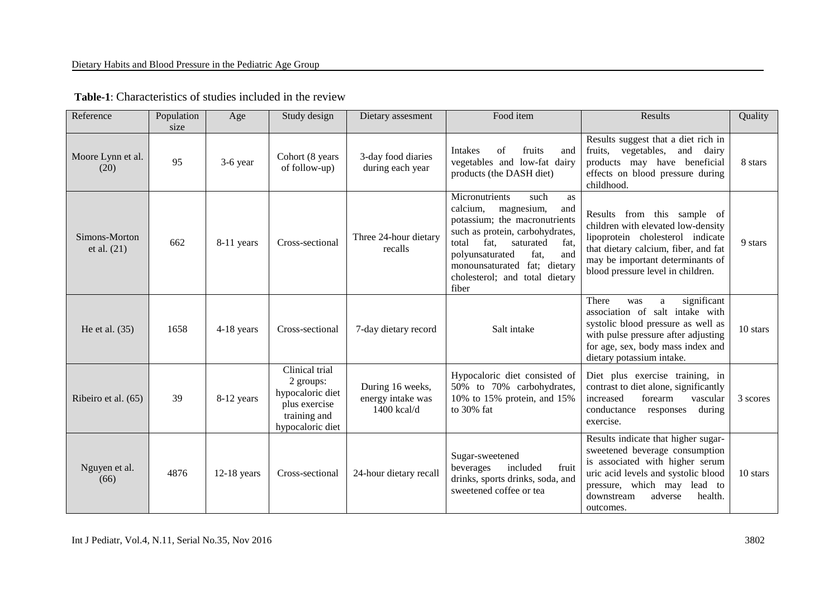| Reference                      | Population<br>size | Age           | Study design                                                                                         | Dietary assesment                                    | Food item                                                                                                                                                                                                                                                                               | Results                                                                                                                                                                                                                         | Quality  |
|--------------------------------|--------------------|---------------|------------------------------------------------------------------------------------------------------|------------------------------------------------------|-----------------------------------------------------------------------------------------------------------------------------------------------------------------------------------------------------------------------------------------------------------------------------------------|---------------------------------------------------------------------------------------------------------------------------------------------------------------------------------------------------------------------------------|----------|
| Moore Lynn et al.<br>(20)      | 95                 | 3-6 year      | Cohort (8 years<br>of follow-up)                                                                     | 3-day food diaries<br>during each year               | <b>Intakes</b><br>fruits<br>of<br>and<br>vegetables and low-fat dairy<br>products (the DASH diet)                                                                                                                                                                                       | Results suggest that a diet rich in<br>fruits, vegetables, and dairy<br>products may have beneficial<br>effects on blood pressure during<br>childhood.                                                                          | 8 stars  |
| Simons-Morton<br>et al. $(21)$ | 662                | 8-11 years    | Cross-sectional                                                                                      | Three 24-hour dietary<br>recalls                     | Micronutrients<br>such<br>as<br>calcium,<br>magnesium,<br>and<br>potassium; the macronutrients<br>such as protein, carbohydrates,<br>total<br>fat,<br>saturated<br>fat,<br>and<br>fat,<br>polyunsaturated<br>fat; dietary<br>monounsaturated<br>cholesterol; and total dietary<br>fiber | Results from this sample of<br>children with elevated low-density<br>lipoprotein cholesterol indicate<br>that dietary calcium, fiber, and fat<br>may be important determinants of<br>blood pressure level in children.          | 9 stars  |
| He et al. $(35)$               | 1658               | 4-18 years    | Cross-sectional                                                                                      | 7-day dietary record                                 | Salt intake                                                                                                                                                                                                                                                                             | significant<br>There<br>was<br>a<br>association of salt intake with<br>systolic blood pressure as well as<br>with pulse pressure after adjusting<br>for age, sex, body mass index and<br>dietary potassium intake.              | 10 stars |
| Ribeiro et al. (65)            | 39                 | 8-12 years    | Clinical trial<br>2 groups:<br>hypocaloric diet<br>plus exercise<br>training and<br>hypocaloric diet | During 16 weeks,<br>energy intake was<br>1400 kcal/d | Hypocaloric diet consisted of<br>50% to 70% carbohydrates,<br>10% to 15% protein, and 15%<br>to 30% fat                                                                                                                                                                                 | Diet plus exercise training, in<br>contrast to diet alone, significantly<br>increased<br>forearm<br>vascular<br>conductance<br>during<br>responses<br>exercise.                                                                 | 3 scores |
| Nguyen et al.<br>(66)          | 4876               | $12-18$ years | Cross-sectional                                                                                      | 24-hour dietary recall                               | Sugar-sweetened<br>beverages<br>included<br>fruit<br>drinks, sports drinks, soda, and<br>sweetened coffee or tea                                                                                                                                                                        | Results indicate that higher sugar-<br>sweetened beverage consumption<br>is associated with higher serum<br>uric acid levels and systolic blood<br>pressure, which may lead to<br>adverse<br>health.<br>downstream<br>outcomes. | 10 stars |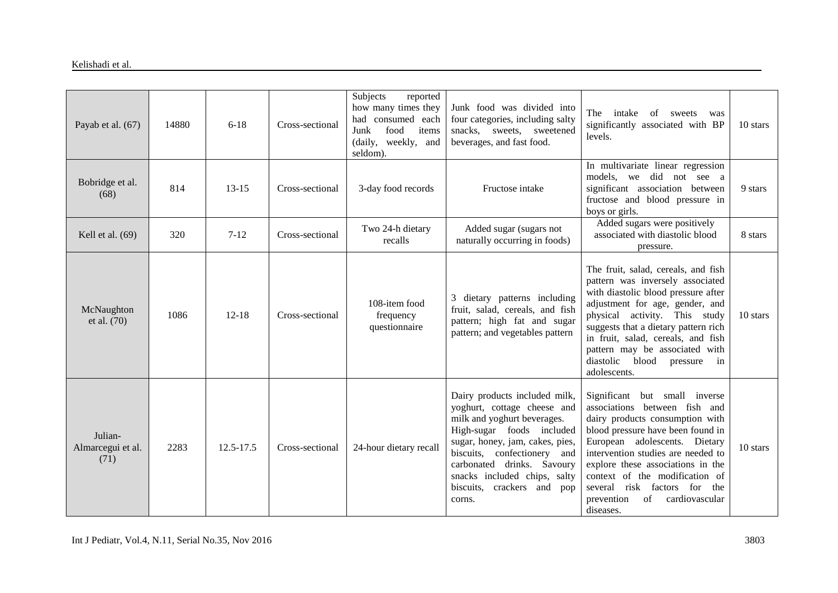| Payab et al. (67)                    | 14880 | $6 - 18$  | Cross-sectional | Subjects<br>reported<br>how many times they<br>had consumed each<br>Junk<br>food<br>items<br>(daily, weekly, and<br>seldom). | Junk food was divided into<br>four categories, including salty<br>snacks, sweets, sweetened<br>beverages, and fast food.                                                                                                                                                                         | The<br>intake<br>of<br>sweets<br>was<br>significantly associated with BP<br>levels.                                                                                                                                                                                                                                                                                     | 10 stars |
|--------------------------------------|-------|-----------|-----------------|------------------------------------------------------------------------------------------------------------------------------|--------------------------------------------------------------------------------------------------------------------------------------------------------------------------------------------------------------------------------------------------------------------------------------------------|-------------------------------------------------------------------------------------------------------------------------------------------------------------------------------------------------------------------------------------------------------------------------------------------------------------------------------------------------------------------------|----------|
| Bobridge et al.<br>(68)              | 814   | $13 - 15$ | Cross-sectional | 3-day food records                                                                                                           | Fructose intake                                                                                                                                                                                                                                                                                  | In multivariate linear regression<br>models, we did not see a<br>significant association between<br>fructose and blood pressure in<br>boys or girls.                                                                                                                                                                                                                    | 9 stars  |
| Kell et al. (69)                     | 320   | $7 - 12$  | Cross-sectional | Two 24-h dietary<br>recalls                                                                                                  | Added sugar (sugars not<br>naturally occurring in foods)                                                                                                                                                                                                                                         | Added sugars were positively<br>associated with diastolic blood<br>pressure.                                                                                                                                                                                                                                                                                            | 8 stars  |
| McNaughton<br>et al. (70)            | 1086  | $12 - 18$ | Cross-sectional | 108-item food<br>frequency<br>questionnaire                                                                                  | 3 dietary patterns including<br>fruit, salad, cereals, and fish<br>pattern; high fat and sugar<br>pattern; and vegetables pattern                                                                                                                                                                | The fruit, salad, cereals, and fish<br>pattern was inversely associated<br>with diastolic blood pressure after<br>adjustment for age, gender, and<br>physical activity. This study<br>suggests that a dietary pattern rich<br>in fruit, salad, cereals, and fish<br>pattern may be associated with<br>diastolic<br>blood<br>pressure<br>in<br>adolescents.              | 10 stars |
| Julian-<br>Almarcegui et al.<br>(71) | 2283  | 12.5-17.5 | Cross-sectional | 24-hour dietary recall                                                                                                       | Dairy products included milk,<br>yoghurt, cottage cheese and<br>milk and yoghurt beverages.<br>High-sugar foods included<br>sugar, honey, jam, cakes, pies,<br>biscuits, confectionery and<br>carbonated drinks. Savoury<br>snacks included chips, salty<br>biscuits, crackers and pop<br>corns. | Significant but small inverse<br>associations between fish and<br>dairy products consumption with<br>blood pressure have been found in<br>European adolescents. Dietary<br>intervention studies are needed to<br>explore these associations in the<br>context of the modification of<br>several risk factors for the<br>cardiovascular<br>prevention<br>of<br>diseases. | 10 stars |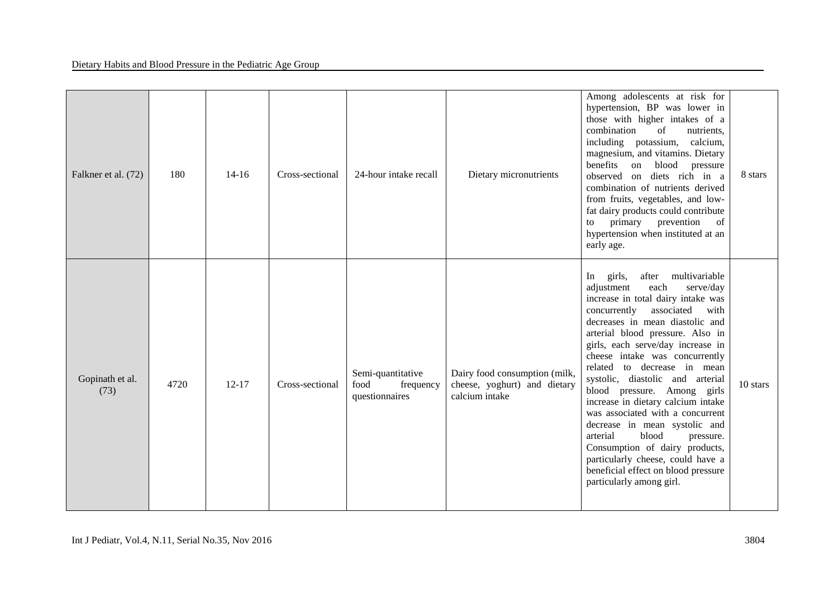| Falkner et al. (72)     | 180  | $14 - 16$ | Cross-sectional | 24-hour intake recall                                    | Dietary micronutrients                                                          | Among adolescents at risk for<br>hypertension, BP was lower in<br>those with higher intakes of a<br>combination<br>of<br>nutrients,<br>including potassium, calcium,<br>magnesium, and vitamins. Dietary<br>benefits on blood pressure<br>observed on diets rich in a<br>combination of nutrients derived<br>from fruits, vegetables, and low-<br>fat dairy products could contribute<br>primary<br>prevention<br>of<br>to<br>hypertension when instituted at an<br>early age.                                                                                                                                                                                                               | 8 stars  |
|-------------------------|------|-----------|-----------------|----------------------------------------------------------|---------------------------------------------------------------------------------|----------------------------------------------------------------------------------------------------------------------------------------------------------------------------------------------------------------------------------------------------------------------------------------------------------------------------------------------------------------------------------------------------------------------------------------------------------------------------------------------------------------------------------------------------------------------------------------------------------------------------------------------------------------------------------------------|----------|
| Gopinath et al.<br>(73) | 4720 | $12 - 17$ | Cross-sectional | Semi-quantitative<br>food<br>frequency<br>questionnaires | Dairy food consumption (milk,<br>cheese, yoghurt) and dietary<br>calcium intake | multivariable<br>In<br>girls,<br>after<br>adjustment<br>each<br>serve/day<br>increase in total dairy intake was<br>concurrently<br>associated<br>with<br>decreases in mean diastolic and<br>arterial blood pressure. Also in<br>girls, each serve/day increase in<br>cheese intake was concurrently<br>related to decrease in mean<br>systolic, diastolic and arterial<br>blood pressure. Among girls<br>increase in dietary calcium intake<br>was associated with a concurrent<br>decrease in mean systolic and<br>arterial<br>blood<br>pressure.<br>Consumption of dairy products,<br>particularly cheese, could have a<br>beneficial effect on blood pressure<br>particularly among girl. | 10 stars |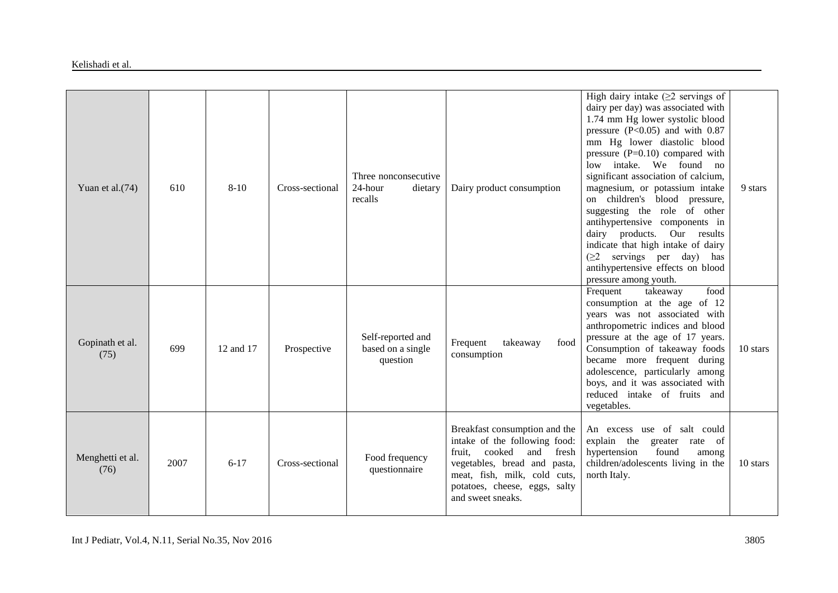| Yuan et al. (74)         | 610  | $8 - 10$  | Cross-sectional | Three nonconsecutive<br>24-hour<br>dietary<br>recalls | Dairy product consumption                                                                                                                                                                                                | High dairy intake $(\geq 2$ servings of<br>dairy per day) was associated with<br>1.74 mm Hg lower systolic blood<br>pressure $(P<0.05)$ and with 0.87<br>mm Hg lower diastolic blood<br>pressure $(P=0.10)$ compared with<br>low intake. We found no<br>significant association of calcium,<br>magnesium, or potassium intake<br>on children's blood pressure,<br>suggesting the role of other<br>antihypertensive components in<br>dairy products. Our results<br>indicate that high intake of dairy<br>$(\geq 2$ servings per day) has<br>antihypertensive effects on blood<br>pressure among youth. | 9 stars  |
|--------------------------|------|-----------|-----------------|-------------------------------------------------------|--------------------------------------------------------------------------------------------------------------------------------------------------------------------------------------------------------------------------|--------------------------------------------------------------------------------------------------------------------------------------------------------------------------------------------------------------------------------------------------------------------------------------------------------------------------------------------------------------------------------------------------------------------------------------------------------------------------------------------------------------------------------------------------------------------------------------------------------|----------|
| Gopinath et al.<br>(75)  | 699  | 12 and 17 | Prospective     | Self-reported and<br>based on a single<br>question    | food<br>Frequent<br>takeaway<br>consumption                                                                                                                                                                              | Frequent<br>food<br>takeaway<br>consumption at the age of 12<br>years was not associated with<br>anthropometric indices and blood<br>pressure at the age of 17 years.<br>Consumption of takeaway foods<br>became more frequent during<br>adolescence, particularly among<br>boys, and it was associated with<br>reduced intake of fruits and<br>vegetables.                                                                                                                                                                                                                                            | 10 stars |
| Menghetti et al.<br>(76) | 2007 | $6 - 17$  | Cross-sectional | Food frequency<br>questionnaire                       | Breakfast consumption and the<br>intake of the following food:<br>cooked<br>fruit,<br>and<br>fresh<br>vegetables, bread and pasta,<br>meat, fish, milk, cold cuts,<br>potatoes, cheese, eggs, salty<br>and sweet sneaks. | An excess use of salt could<br>explain the<br>greater rate of<br>hypertension<br>found<br>among<br>children/adolescents living in the<br>north Italy.                                                                                                                                                                                                                                                                                                                                                                                                                                                  | 10 stars |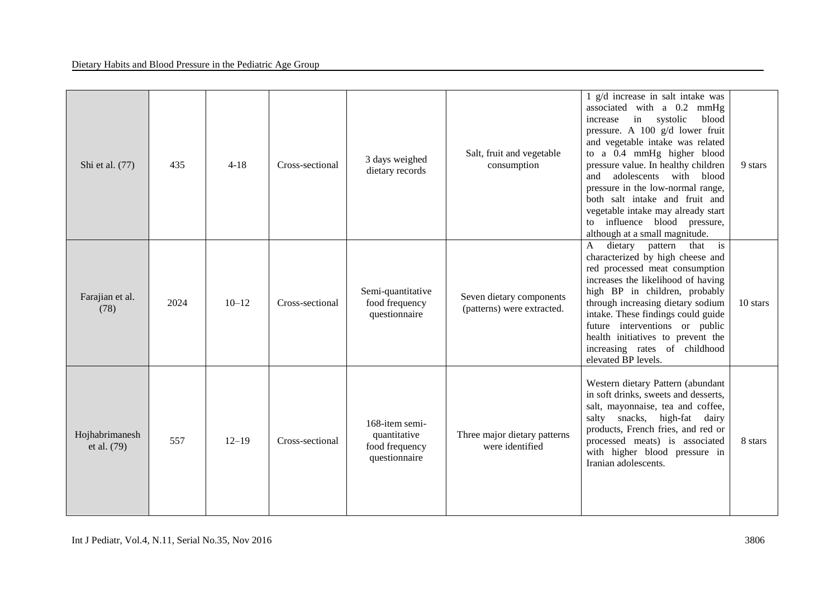| Shi et al. (77)               | 435  | $4 - 18$  | Cross-sectional | 3 days weighed<br>dietary records                                 | Salt, fruit and vegetable<br>consumption               | 1 g/d increase in salt intake was<br>associated with a 0.2 mmHg<br>in systolic<br>increase<br>blood<br>pressure. A 100 g/d lower fruit<br>and vegetable intake was related<br>to a 0.4 mmHg higher blood<br>pressure value. In healthy children<br>adolescents with blood<br>and<br>pressure in the low-normal range,<br>both salt intake and fruit and<br>vegetable intake may already start<br>to influence blood pressure,<br>although at a small magnitude. | 9 stars  |
|-------------------------------|------|-----------|-----------------|-------------------------------------------------------------------|--------------------------------------------------------|-----------------------------------------------------------------------------------------------------------------------------------------------------------------------------------------------------------------------------------------------------------------------------------------------------------------------------------------------------------------------------------------------------------------------------------------------------------------|----------|
| Farajian et al.<br>(78)       | 2024 | $10 - 12$ | Cross-sectional | Semi-quantitative<br>food frequency<br>questionnaire              | Seven dietary components<br>(patterns) were extracted. | that is<br>dietary pattern<br>A<br>characterized by high cheese and<br>red processed meat consumption<br>increases the likelihood of having<br>high BP in children, probably<br>through increasing dietary sodium<br>intake. These findings could guide<br>future interventions or public<br>health initiatives to prevent the<br>increasing rates of childhood<br>elevated BP levels.                                                                          | 10 stars |
| Hojhabrimanesh<br>et al. (79) | 557  | $12 - 19$ | Cross-sectional | 168-item semi-<br>quantitative<br>food frequency<br>questionnaire | Three major dietary patterns<br>were identified        | Western dietary Pattern (abundant<br>in soft drinks, sweets and desserts,<br>salt, mayonnaise, tea and coffee,<br>salty snacks, high-fat dairy<br>products, French fries, and red or<br>processed meats) is associated<br>with higher blood pressure in<br>Iranian adolescents.                                                                                                                                                                                 | 8 stars  |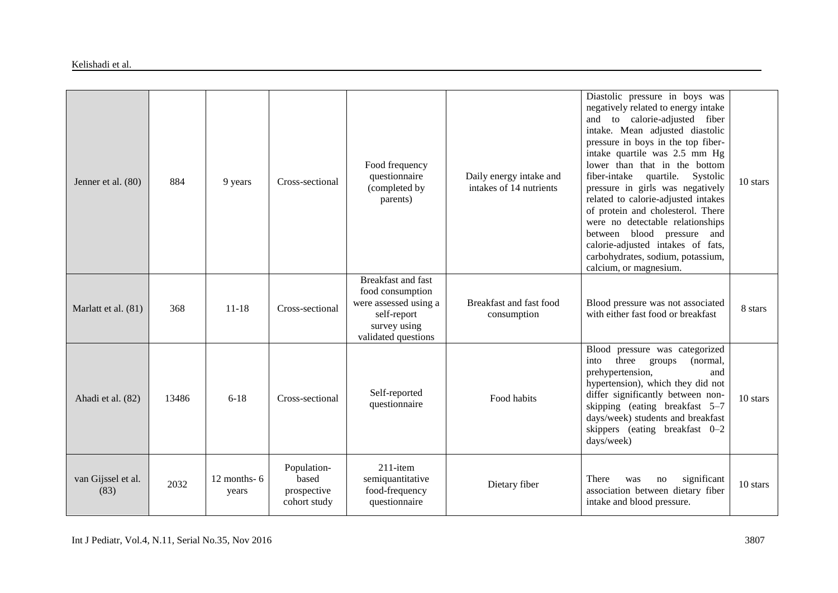| Jenner et al. (80)         | 884   | 9 years                 | Cross-sectional                                     | Food frequency<br>questionnaire<br>(completed by<br>parents)                                                                 | Daily energy intake and<br>intakes of 14 nutrients | Diastolic pressure in boys was<br>negatively related to energy intake<br>and to calorie-adjusted fiber<br>intake. Mean adjusted diastolic<br>pressure in boys in the top fiber-<br>intake quartile was 2.5 mm Hg<br>lower than that in the bottom<br>fiber-intake<br>quartile.<br>Systolic<br>pressure in girls was negatively<br>related to calorie-adjusted intakes<br>of protein and cholesterol. There<br>were no detectable relationships<br>between blood pressure and<br>calorie-adjusted intakes of fats,<br>carbohydrates, sodium, potassium,<br>calcium, or magnesium. | 10 stars |
|----------------------------|-------|-------------------------|-----------------------------------------------------|------------------------------------------------------------------------------------------------------------------------------|----------------------------------------------------|----------------------------------------------------------------------------------------------------------------------------------------------------------------------------------------------------------------------------------------------------------------------------------------------------------------------------------------------------------------------------------------------------------------------------------------------------------------------------------------------------------------------------------------------------------------------------------|----------|
| Marlatt et al. (81)        | 368   | $11 - 18$               | Cross-sectional                                     | <b>Breakfast and fast</b><br>food consumption<br>were assessed using a<br>self-report<br>survey using<br>validated questions | Breakfast and fast food<br>consumption             | Blood pressure was not associated<br>with either fast food or breakfast                                                                                                                                                                                                                                                                                                                                                                                                                                                                                                          | 8 stars  |
| Ahadi et al. (82)          | 13486 | $6 - 18$                | Cross-sectional                                     | Self-reported<br>questionnaire                                                                                               | Food habits                                        | Blood pressure was categorized<br>three<br>(normal,<br>into<br>groups<br>prehypertension,<br>and<br>hypertension), which they did not<br>differ significantly between non-<br>skipping (eating breakfast 5-7<br>days/week) students and breakfast<br>skippers (eating breakfast 0-2<br>days/week)                                                                                                                                                                                                                                                                                | 10 stars |
| van Gijssel et al.<br>(83) | 2032  | 12 months- $6$<br>years | Population-<br>based<br>prospective<br>cohort study | $211$ -item<br>semiquantitative<br>food-frequency<br>questionnaire                                                           | Dietary fiber                                      | There<br>significant<br>was<br>no<br>association between dietary fiber<br>intake and blood pressure.                                                                                                                                                                                                                                                                                                                                                                                                                                                                             | 10 stars |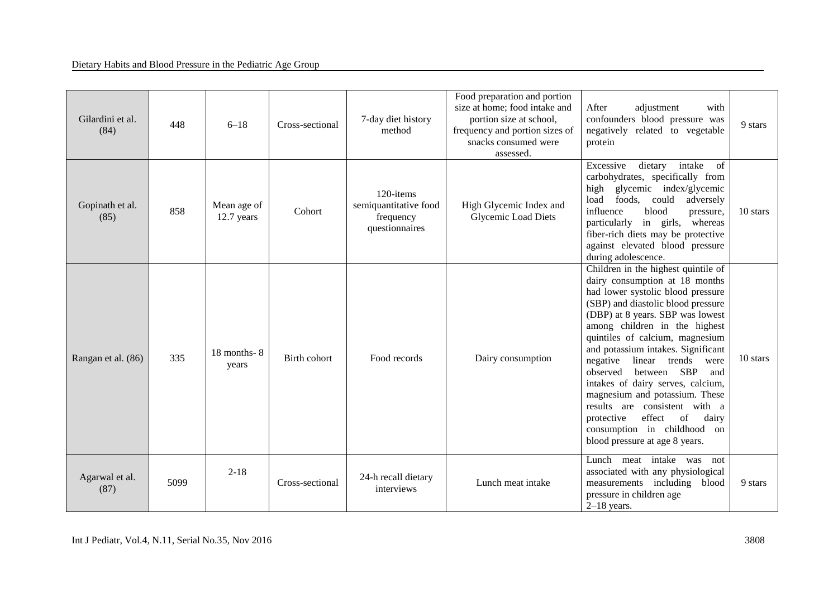| Gilardini et al.<br>(84) | 448  | $6 - 18$                   | Cross-sectional | 7-day diet history<br>method                                      | Food preparation and portion<br>size at home; food intake and<br>portion size at school,<br>frequency and portion sizes of<br>snacks consumed were<br>assessed. | After<br>adjustment<br>with<br>confounders blood pressure was<br>negatively related to vegetable<br>protein                                                                                                                                                                                                                                                                                                                                                                                                                                                                              | 9 stars  |
|--------------------------|------|----------------------------|-----------------|-------------------------------------------------------------------|-----------------------------------------------------------------------------------------------------------------------------------------------------------------|------------------------------------------------------------------------------------------------------------------------------------------------------------------------------------------------------------------------------------------------------------------------------------------------------------------------------------------------------------------------------------------------------------------------------------------------------------------------------------------------------------------------------------------------------------------------------------------|----------|
| Gopinath et al.<br>(85)  | 858  | Mean age of<br>12.7 years  | Cohort          | 120-items<br>semiquantitative food<br>frequency<br>questionnaires | High Glycemic Index and<br><b>Glycemic Load Diets</b>                                                                                                           | intake<br>Excessive<br>dietary<br>of<br>carbohydrates, specifically from<br>high glycemic index/glycemic<br>load foods, could<br>adversely<br>influence<br>blood<br>pressure,<br>particularly in girls, whereas<br>fiber-rich diets may be protective<br>against elevated blood pressure<br>during adolescence.                                                                                                                                                                                                                                                                          | 10 stars |
| Rangan et al. (86)       | 335  | $18$ months - $8$<br>years | Birth cohort    | Food records                                                      | Dairy consumption                                                                                                                                               | Children in the highest quintile of<br>dairy consumption at 18 months<br>had lower systolic blood pressure<br>(SBP) and diastolic blood pressure<br>(DBP) at 8 years. SBP was lowest<br>among children in the highest<br>quintiles of calcium, magnesium<br>and potassium intakes. Significant<br>trends<br>negative<br>linear<br>were<br>between SBP<br>observed<br>and<br>intakes of dairy serves, calcium,<br>magnesium and potassium. These<br>results are consistent with a<br>of<br>effect<br>protective<br>dairy<br>consumption in childhood on<br>blood pressure at age 8 years. | 10 stars |
| Agarwal et al.<br>(87)   | 5099 | $2 - 18$                   | Cross-sectional | 24-h recall dietary<br>interviews                                 | Lunch meat intake                                                                                                                                               | Lunch meat intake was<br>not<br>associated with any physiological<br>measurements including blood<br>pressure in children age<br>$2-18$ years.                                                                                                                                                                                                                                                                                                                                                                                                                                           | 9 stars  |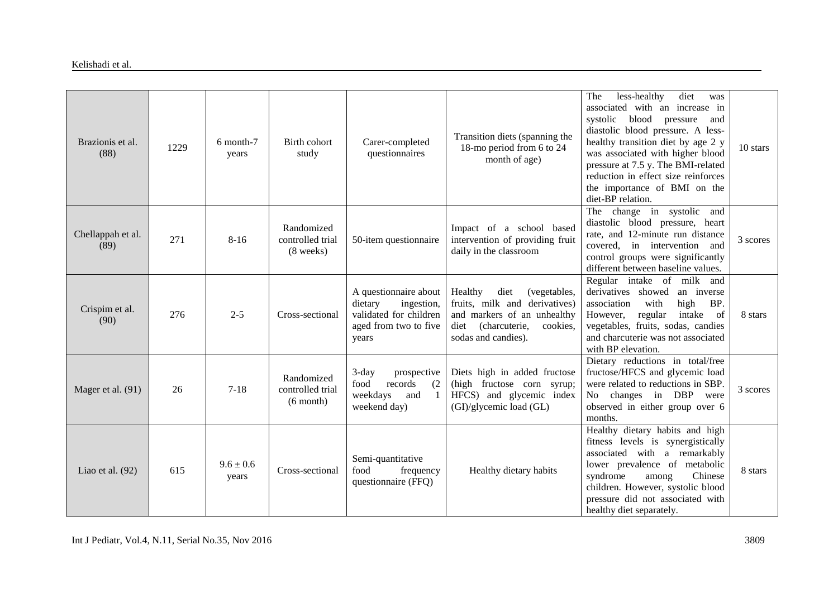| Brazionis et al.<br>(88)  | 1229 | 6 month-7<br>years     | Birth cohort<br>study                         | Carer-completed<br>questionnaires                                                                          | Transition diets (spanning the<br>18-mo period from 6 to 24<br>month of age)                                                                             | diet<br>less-healthy<br>The<br>was<br>associated with an increase in<br>systolic blood pressure<br>and<br>diastolic blood pressure. A less-<br>healthy transition diet by age 2 y<br>was associated with higher blood<br>pressure at 7.5 y. The BMI-related<br>reduction in effect size reinforces<br>the importance of BMI on the<br>diet-BP relation. | 10 stars |
|---------------------------|------|------------------------|-----------------------------------------------|------------------------------------------------------------------------------------------------------------|----------------------------------------------------------------------------------------------------------------------------------------------------------|---------------------------------------------------------------------------------------------------------------------------------------------------------------------------------------------------------------------------------------------------------------------------------------------------------------------------------------------------------|----------|
| Chellappah et al.<br>(89) | 271  | $8 - 16$               | Randomized<br>controlled trial<br>(8 weeks)   | 50-item questionnaire                                                                                      | Impact of a school based<br>intervention of providing fruit<br>daily in the classroom                                                                    | The change in systolic and<br>diastolic blood pressure, heart<br>rate, and 12-minute run distance<br>covered, in intervention and<br>control groups were significantly<br>different between baseline values.                                                                                                                                            | 3 scores |
| Crispim et al.<br>(90)    | 276  | $2 - 5$                | Cross-sectional                               | A questionnaire about<br>dietary<br>ingestion,<br>validated for children<br>aged from two to five<br>years | Healthy<br>(vegetables,<br>diet<br>fruits, milk and derivatives)<br>and markers of an unhealthy<br>diet (charcuterie,<br>cookies.<br>sodas and candies). | Regular intake of milk and<br>derivatives showed<br>an inverse<br>high<br>association<br>with<br>BP.<br>regular<br>intake<br>However,<br>- of<br>vegetables, fruits, sodas, candies<br>and charcuterie was not associated<br>with BP elevation.                                                                                                         | 8 stars  |
| Mager et al. (91)         | 26   | $7 - 18$               | Randomized<br>controlled trial<br>$(6$ month) | $3$ -day<br>prospective<br>food<br>records<br>(2)<br>weekdays<br>and<br>1<br>weekend day)                  | Diets high in added fructose<br>(high fructose corn syrup;<br>HFCS) and glycemic index<br>(GI)/glycemic load (GL)                                        | Dietary reductions in total/free<br>fructose/HFCS and glycemic load<br>were related to reductions in SBP.<br>No changes in DBP were<br>observed in either group over 6<br>months.                                                                                                                                                                       | 3 scores |
| Liao et al. $(92)$        | 615  | $9.6 \pm 0.6$<br>years | Cross-sectional                               | Semi-quantitative<br>food<br>frequency<br>questionnaire (FFQ)                                              | Healthy dietary habits                                                                                                                                   | Healthy dietary habits and high<br>fitness levels is synergistically<br>associated with a remarkably<br>lower prevalence of metabolic<br>syndrome<br>Chinese<br>among<br>children. However, systolic blood<br>pressure did not associated with<br>healthy diet separately.                                                                              | 8 stars  |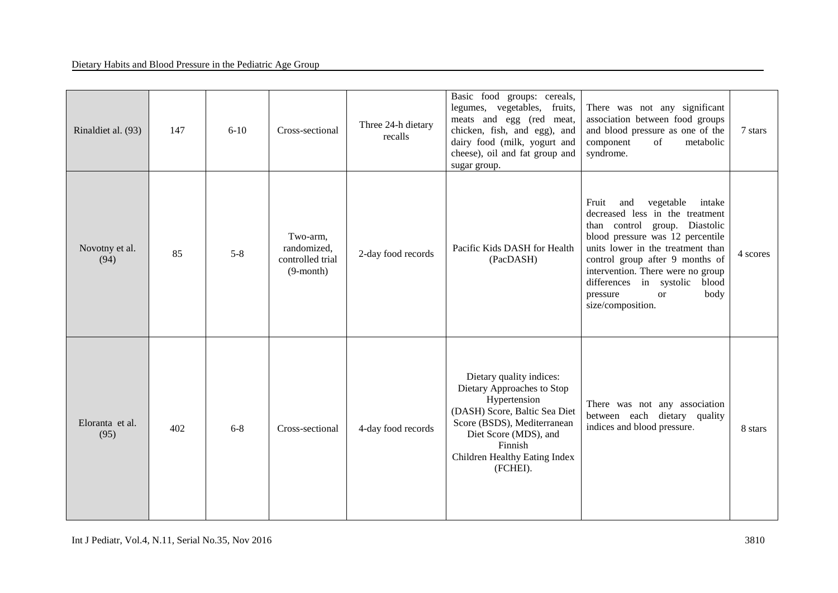| Rinaldiet al. (93)      | 147 | $6 - 10$ | Cross-sectional                                             | Three 24-h dietary<br>recalls | Basic food groups: cereals,<br>legumes, vegetables, fruits,<br>meats and egg (red meat,<br>chicken, fish, and egg), and<br>dairy food (milk, yogurt and<br>cheese), oil and fat group and<br>sugar group.               | There was not any significant<br>association between food groups<br>and blood pressure as one of the<br>component<br>of<br>metabolic<br>syndrome.                                                                                                                                                                                                  | 7 stars  |
|-------------------------|-----|----------|-------------------------------------------------------------|-------------------------------|-------------------------------------------------------------------------------------------------------------------------------------------------------------------------------------------------------------------------|----------------------------------------------------------------------------------------------------------------------------------------------------------------------------------------------------------------------------------------------------------------------------------------------------------------------------------------------------|----------|
| Novotny et al.<br>(94)  | 85  | $5 - 8$  | Two-arm,<br>randomized,<br>controlled trial<br>$(9$ -month) | 2-day food records            | Pacific Kids DASH for Health<br>(PacDASH)                                                                                                                                                                               | vegetable<br>Fruit<br>and<br>intake<br>decreased less in the treatment<br>than control group. Diastolic<br>blood pressure was 12 percentile<br>units lower in the treatment than<br>control group after 9 months of<br>intervention. There were no group<br>differences in systolic<br>blood<br>pressure<br>body<br><b>or</b><br>size/composition. | 4 scores |
| Eloranta et al.<br>(95) | 402 | $6 - 8$  | Cross-sectional                                             | 4-day food records            | Dietary quality indices:<br>Dietary Approaches to Stop<br>Hypertension<br>(DASH) Score, Baltic Sea Diet<br>Score (BSDS), Mediterranean<br>Diet Score (MDS), and<br>Finnish<br>Children Healthy Eating Index<br>(FCHEI). | There was not any association<br>between each dietary quality<br>indices and blood pressure.                                                                                                                                                                                                                                                       | 8 stars  |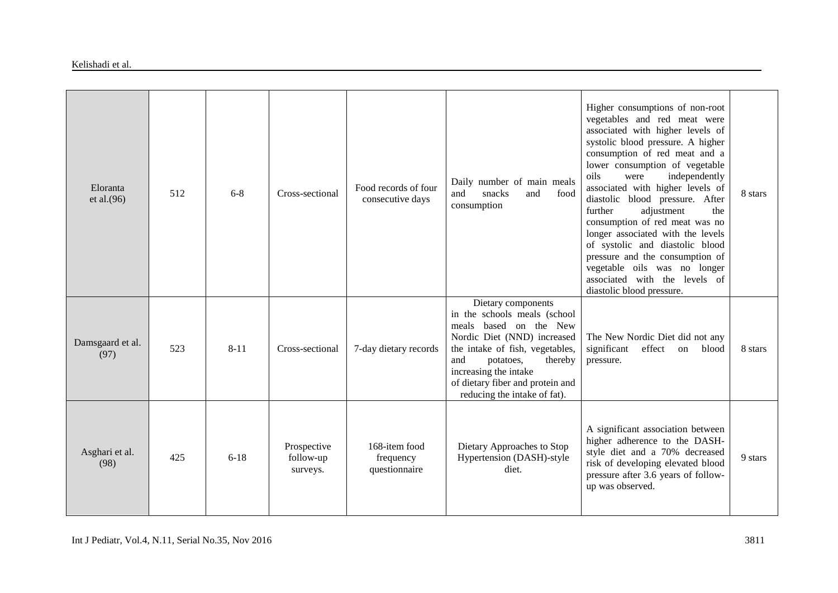#### Kelishadi et al.

| Eloranta<br>et al. $(96)$ | 512 | $6 - 8$  | Cross-sectional                      | Food records of four<br>consecutive days    | Daily number of main meals<br>and<br>snacks<br>food<br>and<br>consumption                                                                                                                                                                                                     | Higher consumptions of non-root<br>vegetables and red meat were<br>associated with higher levels of<br>systolic blood pressure. A higher<br>consumption of red meat and a<br>lower consumption of vegetable<br>independently<br>oils<br>were<br>associated with higher levels of<br>diastolic blood pressure. After<br>adjustment<br>further<br>the<br>consumption of red meat was no<br>longer associated with the levels<br>of systolic and diastolic blood<br>pressure and the consumption of<br>vegetable oils was no longer<br>associated with the levels of<br>diastolic blood pressure. | 8 stars |
|---------------------------|-----|----------|--------------------------------------|---------------------------------------------|-------------------------------------------------------------------------------------------------------------------------------------------------------------------------------------------------------------------------------------------------------------------------------|------------------------------------------------------------------------------------------------------------------------------------------------------------------------------------------------------------------------------------------------------------------------------------------------------------------------------------------------------------------------------------------------------------------------------------------------------------------------------------------------------------------------------------------------------------------------------------------------|---------|
| Damsgaard et al.<br>(97)  | 523 | $8 - 11$ | Cross-sectional                      | 7-day dietary records                       | Dietary components<br>in the schools meals (school<br>based on the New<br>meals<br>Nordic Diet (NND) increased<br>the intake of fish, vegetables,<br>and<br>thereby<br>potatoes,<br>increasing the intake<br>of dietary fiber and protein and<br>reducing the intake of fat). | The New Nordic Diet did not any<br>significant<br>effect<br>blood<br>on<br>pressure.                                                                                                                                                                                                                                                                                                                                                                                                                                                                                                           | 8 stars |
| Asghari et al.<br>(98)    | 425 | $6 - 18$ | Prospective<br>follow-up<br>surveys. | 168-item food<br>frequency<br>questionnaire | Dietary Approaches to Stop<br>Hypertension (DASH)-style<br>diet.                                                                                                                                                                                                              | A significant association between<br>higher adherence to the DASH-<br>style diet and a 70% decreased<br>risk of developing elevated blood<br>pressure after 3.6 years of follow-<br>up was observed.                                                                                                                                                                                                                                                                                                                                                                                           | 9 stars |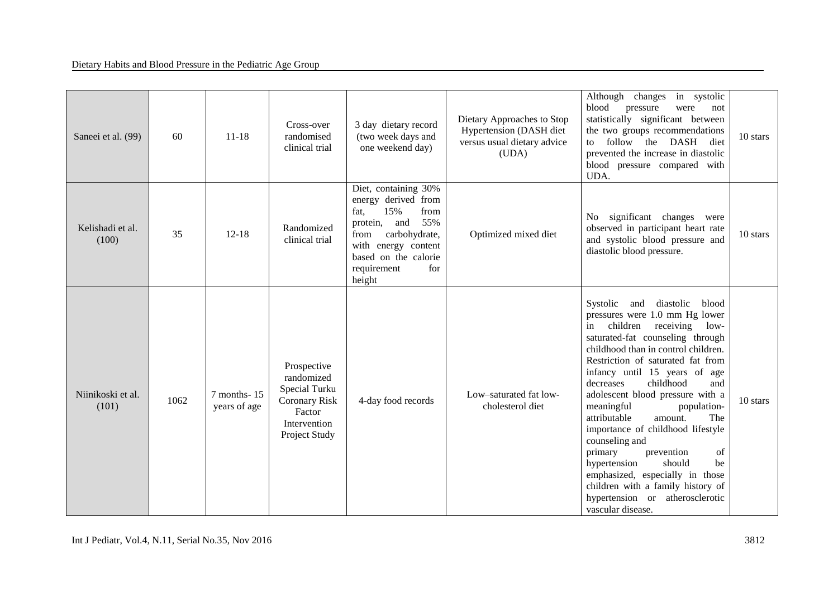| Saneei et al. (99)         | 60   | $11 - 18$                   | Cross-over<br>randomised<br>clinical trial                                                                    | 3 day dietary record<br>(two week days and<br>one weekend day)                                                                                                                                    | Dietary Approaches to Stop<br>Hypertension (DASH diet<br>versus usual dietary advice<br>(UDA) | Although changes in systolic<br>blood<br>pressure<br>were<br>not<br>statistically significant between<br>the two groups recommendations<br>follow the DASH diet<br>to.<br>prevented the increase in diastolic<br>blood pressure compared with<br>UDA.                                                                                                                                                                                                                                                                                                                                                                                                 | 10 stars |
|----------------------------|------|-----------------------------|---------------------------------------------------------------------------------------------------------------|---------------------------------------------------------------------------------------------------------------------------------------------------------------------------------------------------|-----------------------------------------------------------------------------------------------|-------------------------------------------------------------------------------------------------------------------------------------------------------------------------------------------------------------------------------------------------------------------------------------------------------------------------------------------------------------------------------------------------------------------------------------------------------------------------------------------------------------------------------------------------------------------------------------------------------------------------------------------------------|----------|
| Kelishadi et al.<br>(100)  | 35   | $12 - 18$                   | Randomized<br>clinical trial                                                                                  | Diet, containing 30%<br>energy derived from<br>15%<br>from<br>fat,<br>55%<br>protein, and<br>carbohydrate,<br>from<br>with energy content<br>based on the calorie<br>requirement<br>for<br>height | Optimized mixed diet                                                                          | No significant changes were<br>observed in participant heart rate<br>and systolic blood pressure and<br>diastolic blood pressure.                                                                                                                                                                                                                                                                                                                                                                                                                                                                                                                     | 10 stars |
| Niinikoski et al.<br>(101) | 1062 | 7 months-15<br>years of age | Prospective<br>randomized<br>Special Turku<br><b>Coronary Risk</b><br>Factor<br>Intervention<br>Project Study | 4-day food records                                                                                                                                                                                | Low-saturated fat low-<br>cholesterol diet                                                    | diastolic<br>Systolic and<br>blood<br>pressures were 1.0 mm Hg lower<br>children receiving<br>$low-$<br>in<br>saturated-fat counseling through<br>childhood than in control children.<br>Restriction of saturated fat from<br>infancy until 15 years of age<br>childhood<br>and<br>decreases<br>adolescent blood pressure with a<br>meaningful<br>population-<br>attributable<br>amount.<br>The<br>importance of childhood lifestyle<br>counseling and<br>primary<br>prevention<br>of<br>should<br>be<br>hypertension<br>emphasized, especially in those<br>children with a family history of<br>hypertension or atherosclerotic<br>vascular disease. | 10 stars |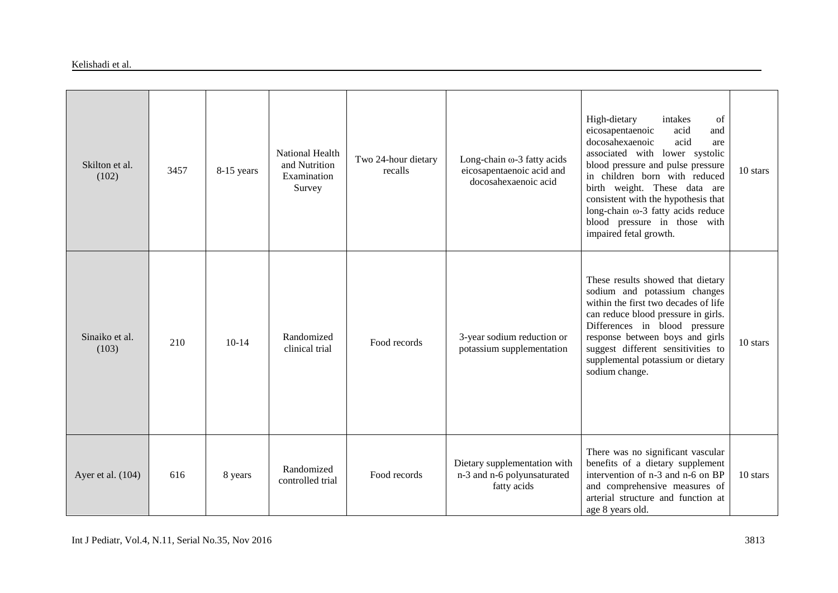#### Kelishadi et al.

| Skilton et al.<br>(102) | 3457 | 8-15 years | <b>National Health</b><br>and Nutrition<br>Examination | Two 24-hour dietary<br>recalls | Long-chain $\omega$ -3 fatty acids<br>eicosapentaenoic acid and<br>docosahexaenoic acid | High-dietary<br>of<br>intakes<br>eicosapentaenoic<br>acid<br>and<br>docosahexaenoic<br>acid<br>are<br>associated with lower systolic<br>blood pressure and pulse pressure<br>in children born with reduced                                                                                                        | 10 stars |
|-------------------------|------|------------|--------------------------------------------------------|--------------------------------|-----------------------------------------------------------------------------------------|-------------------------------------------------------------------------------------------------------------------------------------------------------------------------------------------------------------------------------------------------------------------------------------------------------------------|----------|
|                         |      |            | Survey                                                 |                                |                                                                                         | birth weight. These data are<br>consistent with the hypothesis that<br>long-chain $\omega$ -3 fatty acids reduce<br>blood pressure in those with<br>impaired fetal growth.                                                                                                                                        |          |
| Sinaiko et al.<br>(103) | 210  | $10-14$    | Randomized<br>clinical trial                           | Food records                   | 3-year sodium reduction or<br>potassium supplementation                                 | These results showed that dietary<br>sodium and potassium changes<br>within the first two decades of life<br>can reduce blood pressure in girls.<br>Differences in blood pressure<br>response between boys and girls<br>suggest different sensitivities to<br>supplemental potassium or dietary<br>sodium change. | 10 stars |
| Ayer et al. (104)       | 616  | 8 years    | Randomized<br>controlled trial                         | Food records                   | Dietary supplementation with<br>n-3 and n-6 polyunsaturated<br>fatty acids              | There was no significant vascular<br>benefits of a dietary supplement<br>intervention of n-3 and n-6 on BP<br>and comprehensive measures of<br>arterial structure and function at<br>age 8 years old.                                                                                                             | 10 stars |